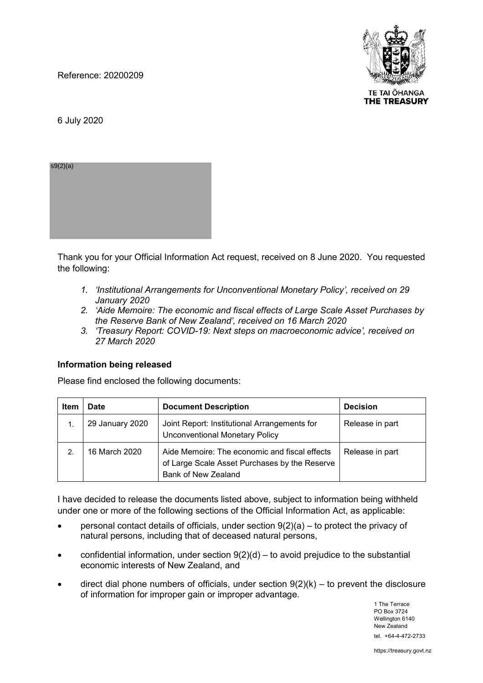Reference: 20200209



TE TAI ŌHANGA **THE TREASURY** 

6 July 2020

s9(2)(a)

Thank you for your Official Information Act request, received on 8 June 2020. You requested the following:

- *1. 'Institutional Arrangements for Unconventional Monetary Policy', received on 29 January 2020*
- *2. 'Aide Memoire: The economic and fiscal effects of Large Scale Asset Purchases by the Reserve Bank of New Zealand', received on 16 March 2020*
- *3. 'Treasury Report: COVID-19: Next steps on macroeconomic advice', received on 27 March 2020*

#### **Information being released**

Please find enclosed the following documents:

| Item           | Date            | <b>Document Description</b>                                                                                           | <b>Decision</b> |
|----------------|-----------------|-----------------------------------------------------------------------------------------------------------------------|-----------------|
|                | 29 January 2020 | Joint Report: Institutional Arrangements for<br><b>Unconventional Monetary Policy</b>                                 | Release in part |
| $\overline{2}$ | 16 March 2020   | Aide Memoire: The economic and fiscal effects<br>of Large Scale Asset Purchases by the Reserve<br>Bank of New Zealand | Release in part |

I have decided to release the documents listed above, subject to information being withheld under one or more of the following sections of the Official Information Act, as applicable:

- personal contact details of officials, under section  $9(2)(a) -$  to protect the privacy of natural persons, including that of deceased natural persons,
- confidential information, under section  $9(2)(d)$  to avoid prejudice to the substantial economic interests of New Zealand, and
- direct dial phone numbers of officials, under section  $9(2)(k)$  to prevent the disclosure of information for improper gain or improper advantage.

1 The Terrace PO Box 3724 Wellington 6140 New Zealand tel. +64-4-472-2733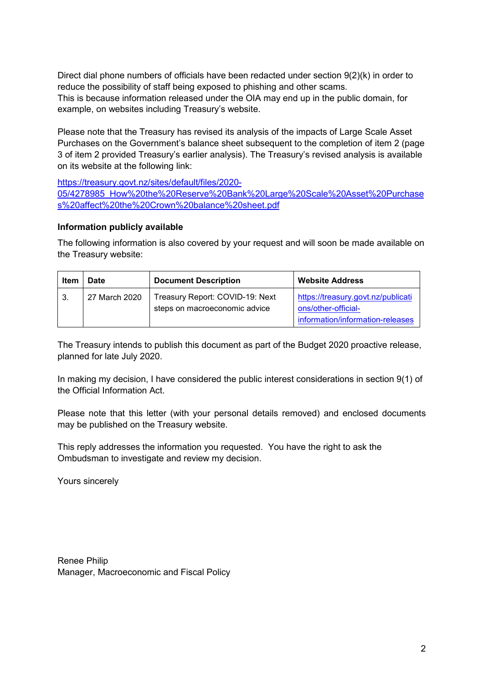Direct dial phone numbers of officials have been redacted under section 9(2)(k) in order to reduce the possibility of staff being exposed to phishing and other scams. This is because information released under the OIA may end up in the public domain, for example, on websites including Treasury's website.

Please note that the Treasury has revised its analysis of the impacts of Large Scale Asset Purchases on the Government's balance sheet subsequent to the completion of item 2 (page 3 of item 2 provided Treasury's earlier analysis). The Treasury's revised analysis is available on its website at the following link:

https://treasury.govt.nz/sites/default/files/2020- 05/4278985\_How%20the%20Reserve%20Bank%20Large%20Scale%20Asset%20Purchase s%20affect%20the%20Crown%20balance%20sheet.pdf

# **Information publicly available**

The following information is also covered by your request and will soon be made available on the Treasury website:

| Item | <b>Date</b>   | <b>Document Description</b>                                      | <b>Website Address</b>                                                                        |
|------|---------------|------------------------------------------------------------------|-----------------------------------------------------------------------------------------------|
| -3.  | 27 March 2020 | Treasury Report: COVID-19: Next<br>steps on macroeconomic advice | https://treasury.govt.nz/publicati<br>ons/other-official-<br>information/information-releases |

The Treasury intends to publish this document as part of the Budget 2020 proactive release, planned for late July 2020.

In making my decision, I have considered the public interest considerations in section 9(1) of the Official Information Act.

Please note that this letter (with your personal details removed) and enclosed documents may be published on the Treasury website.

This reply addresses the information you requested. You have the right to ask the Ombudsman to investigate and review my decision.

Yours sincerely

Renee Philip Manager, Macroeconomic and Fiscal Policy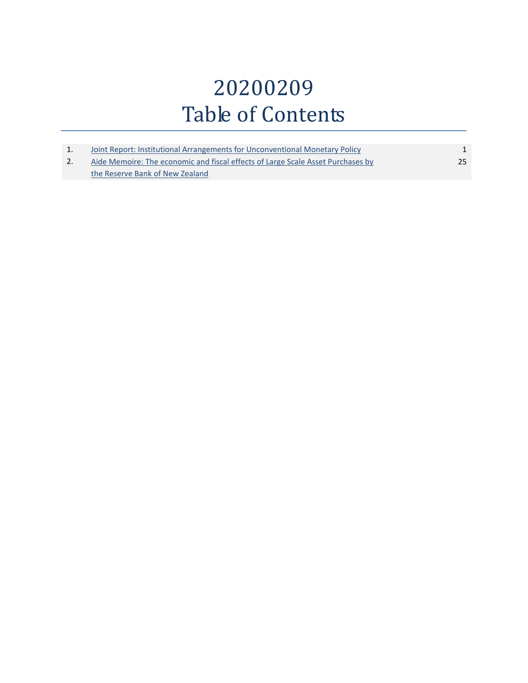# 20200209 Table of Contents

| Joint Report: Institutional Arrangements for Unconventional Monetary Policy     |    |
|---------------------------------------------------------------------------------|----|
| Aide Memoire: The economic and fiscal effects of Large Scale Asset Purchases by | 25 |
| the Reserve Bank of New Zealand                                                 |    |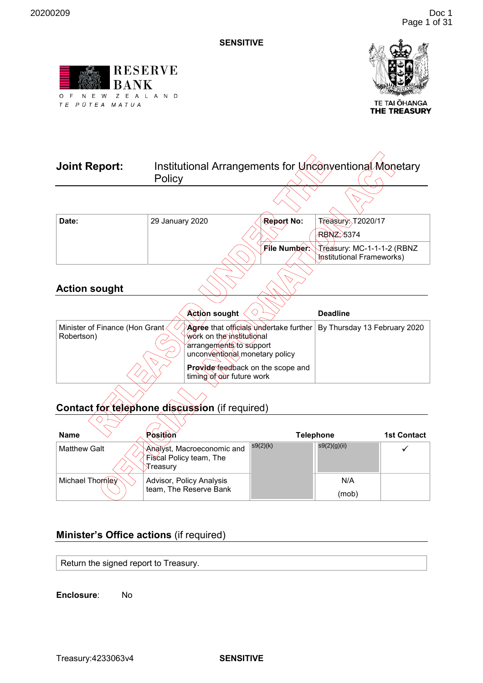<span id="page-3-0"></span>



TE TAI ŌHANGA<br>**THE TREASURY** 

| 29 January 2020                | Report No:          | <b>Treasury</b> , T2020/17<br><b>RBNZ: 5374</b>                                                                                                                                                                                                                                             |
|--------------------------------|---------------------|---------------------------------------------------------------------------------------------------------------------------------------------------------------------------------------------------------------------------------------------------------------------------------------------|
|                                | <b>File Number:</b> | Treasury: MC-1-1-1-2 (RBNZ<br><b>Institutional Frameworks)</b>                                                                                                                                                                                                                              |
|                                |                     |                                                                                                                                                                                                                                                                                             |
|                                |                     | <b>Deadline</b>                                                                                                                                                                                                                                                                             |
| Minister of Finance (Hon Grant |                     | By Thursday 13 February 2020                                                                                                                                                                                                                                                                |
|                                |                     |                                                                                                                                                                                                                                                                                             |
|                                | Policy              | Institutional Arrangements for Unconventional Monetary<br><b>Action sought</b><br>Agree that officials undertake further<br>work on the institutional<br>arrangements⁄to súpport<br>unconventional monetary policy<br><b>Provide feedback on the scope and</b><br>timing of our future work |

#### **Contact for telephone discussion** (if required)  $\overline{\phantom{0}}$

| <b>Name</b>         | Position                                                          |          | <b>Telephone</b> | <b>1st Contact</b> |
|---------------------|-------------------------------------------------------------------|----------|------------------|--------------------|
| <b>Matthew Galt</b> | Analyst, Macroeconomic and<br>Fiscal Policy team, The<br>对reasurv | s9(2)(k) | s9(2)(g)(ii)     |                    |
| Michael Thomley     | Advisor, Policy Analysis<br>team, The Reserve Bank                |          | N/A<br>(mob)     |                    |

# **Minister's Office actions** (if required)

Return the signed report to Treasury.

**Enclosure**: No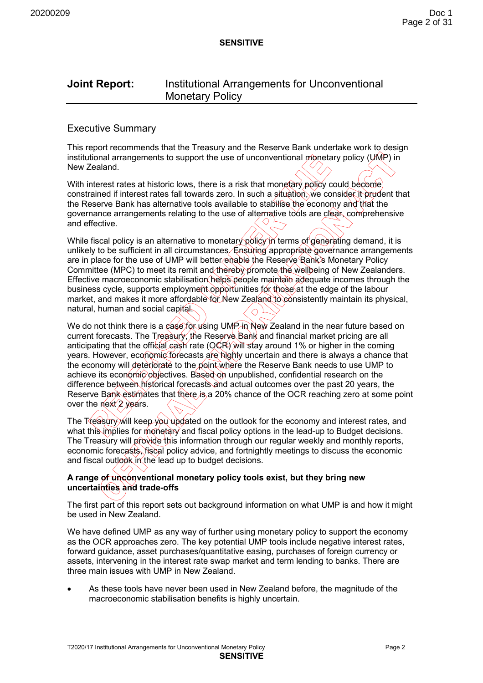# **Joint Report:** Institutional Arrangements for Unconventional Monetary Policy

#### Executive Summary

This report recommends that the Treasury and the Reserve Bank undertake work to design institutional arrangements to support the use of unconventional monetary policy (UMP) in New Zealand.

With interest rates at historic lows, there is a risk that monetary policy could become constrained if interest rates fall towards zero. In such a situation, we consider it prudent that the Reserve Bank has alternative tools available to stabilise the economy and that the governance arrangements relating to the use of alternative tools are clear, comprehensive and effective.

While fiscal policy is an alternative to monetary policy in terms of generating demand, it is unlikely to be sufficient in all circumstances. Ensuring appropriate governance arrangements are in place for the use of UMP will better enable the Reserve Bank's Monetary Policy Committee (MPC) to meet its remit and thereby promote the well being of New Zealanders. Effective macroeconomic stabilisation helps people maintain adequate incomes through the business cycle, supports employment opportunities for those at the edge of the labour market, and makes it more affordable for New Zealand to consistently maintain its physical, natural, human and social capital.  $\Diamond$ 

We do not think there is a case for using UMP in New Zealand in the near future based on current forecasts. The Treasury, the Reserve Bank and financial market pricing are all anticipating that the official cash rate ( $QQR$ ) will stay around 1% or higher in the coming years. However, economic forecasts are highly uncertain and there is always a chance that the economy will deteriorate to the point where the Reserve Bank needs to use UMP to achieve its economic objectives. Based on unpublished, confidential research on the difference between historical forecasts and actual outcomes over the past 20 years, the Reserve Bank estimates that there is a 20% chance of the OCR reaching zero at some point over the next 2 years.

The Treasury will keep you updated on the outlook for the economy and interest rates, and what this implies for monetary and fiscal policy options in the lead-up to Budget decisions. The Treasury will provide this information through our regular weekly and monthly reports, economic forecasts, fiscal policy advice, and fortnightly meetings to discuss the economic and fiscal outlook in the lead up to budget decisions.

#### **A range of unconventional monetary policy tools exist, but they bring new uncertainties and trade-offs**

The first part of this report sets out background information on what UMP is and how it might be used in New Zealand.

We have defined UMP as any way of further using monetary policy to support the economy as the OCR approaches zero. The key potential UMP tools include negative interest rates, forward guidance, asset purchases/quantitative easing, purchases of foreign currency or assets, intervening in the interest rate swap market and term lending to banks. There are three main issues with UMP in New Zealand.

• As these tools have never been used in New Zealand before, the magnitude of the macroeconomic stabilisation benefits is highly uncertain.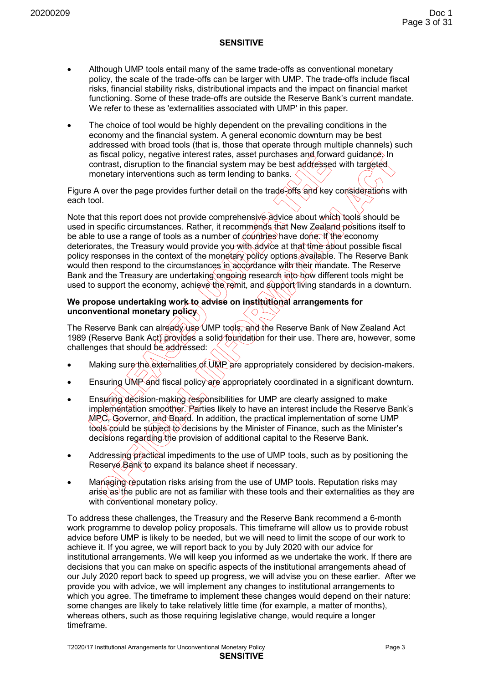- Although UMP tools entail many of the same trade-offs as conventional monetary policy, the scale of the trade-offs can be larger with UMP. The trade-offs include fiscal risks, financial stability risks, distributional impacts and the impact on financial market functioning. Some of these trade-offs are outside the Reserve Bank's current mandate. We refer to these as 'externalities associated with UMP' in this paper.
- The choice of tool would be highly dependent on the prevailing conditions in the economy and the financial system. A general economic downturn may be best addressed with broad tools (that is, those that operate through multiple channels) such as fiscal policy, negative interest rates, asset purchases and forward guidance. In contrast, disruption to the financial system may be best addressed with targeted monetary interventions such as term lending to banks.

Figure A over the page provides further detail on the trade-offs and key considerations with each tool.

Note that this report does not provide comprehensive advice about which tools should be used in specific circumstances. Rather, it recommends that New Zealand positions itself to be able to use a range of tools as a number of countries have done. If the economy deteriorates, the Treasury would provide you with advice at that time about possible fiscal policy responses in the context of the monetary policy options available. The Reserve Bank would then respond to the circumstances in accordance with their mandate. The Reserve Bank and the Treasury are undertaking ongoing research into how different tools might be used to support the economy, achieve the remit, and support living standards in a downturn.

#### **We propose undertaking work to advise on institutional arrangements for unconventional monetary policy**

The Reserve Bank can already use UMP tools, and the Reserve Bank of New Zealand Act 1989 (Reserve Bank Act) provides a solid foundation for their use. There are, however, some challenges that should be addressed:

- Making sure the externalities of UMP are appropriately considered by decision-makers.
- Ensuring UMP and fiscal policy are appropriately coordinated in a significant downturn.
- Ensuring decision-making responsibilities for UMP are clearly assigned to make implementation smoother. Parties likely to have an interest include the Reserve Bank's MPC, Governor, and Board. In addition, the practical implementation of some UMP tools could be subject to decisions by the Minister of Finance, such as the Minister's decisions regarding the provision of additional capital to the Reserve Bank.
- Addressing practical impediments to the use of UMP tools, such as by positioning the Reserve Bank to expand its balance sheet if necessary.
- Managing reputation risks arising from the use of UMP tools. Reputation risks may arise as the public are not as familiar with these tools and their externalities as they are with conventional monetary policy.

To address these challenges, the Treasury and the Reserve Bank recommend a 6-month work programme to develop policy proposals. This timeframe will allow us to provide robust advice before UMP is likely to be needed, but we will need to limit the scope of our work to achieve it. If you agree, we will report back to you by July 2020 with our advice for institutional arrangements. We will keep you informed as we undertake the work. If there are decisions that you can make on specific aspects of the institutional arrangements ahead of our July 2020 report back to speed up progress, we will advise you on these earlier. After we provide you with advice, we will implement any changes to institutional arrangements to which you agree. The timeframe to implement these changes would depend on their nature: some changes are likely to take relatively little time (for example, a matter of months), whereas others, such as those requiring legislative change, would require a longer timeframe.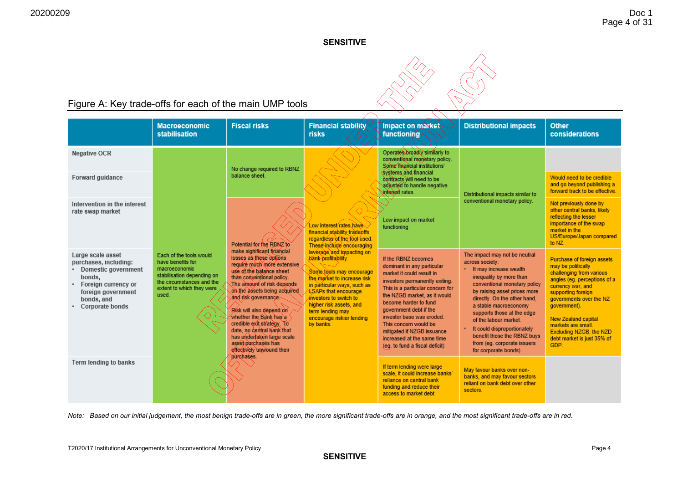

# Figure A: Key trade-offs for each of the main UMP tools

|                                                                                                                                                           | <b>Macroeconomic</b><br>stabilisation                                                                                                                          | <b>Fiscal risks</b>                                                                                                                                                                                                                                                                                                                                                                                                                     | <b>Financial stability</b><br><b>risks</b>                                                                                                                                                                                                                                                                                                                                                                            | <b>Impact on market</b><br><b>functioning</b>                                                                                                                                                                                                                                                                                                                                               | <b>Distributional impacts</b>                                                                                                                                                                                                                                                                                                                                                                                 | <b>Other</b><br>considerations                                                                                                                                                                                                                                                                                          |
|-----------------------------------------------------------------------------------------------------------------------------------------------------------|----------------------------------------------------------------------------------------------------------------------------------------------------------------|-----------------------------------------------------------------------------------------------------------------------------------------------------------------------------------------------------------------------------------------------------------------------------------------------------------------------------------------------------------------------------------------------------------------------------------------|-----------------------------------------------------------------------------------------------------------------------------------------------------------------------------------------------------------------------------------------------------------------------------------------------------------------------------------------------------------------------------------------------------------------------|---------------------------------------------------------------------------------------------------------------------------------------------------------------------------------------------------------------------------------------------------------------------------------------------------------------------------------------------------------------------------------------------|---------------------------------------------------------------------------------------------------------------------------------------------------------------------------------------------------------------------------------------------------------------------------------------------------------------------------------------------------------------------------------------------------------------|-------------------------------------------------------------------------------------------------------------------------------------------------------------------------------------------------------------------------------------------------------------------------------------------------------------------------|
| <b>Negative OCR</b>                                                                                                                                       |                                                                                                                                                                | No change required to RBNZ<br>balance sheet.                                                                                                                                                                                                                                                                                                                                                                                            | Low interest rates have<br>financial stability tradeoffs<br>regardless of the tool used.<br>These include encouraging<br>leverage and impacting on<br>bank profitability.<br>Some topls may encourage<br>the market to increase risk<br>in particular ways, such as<br><b>LSAPs that encourage</b><br>investors to switch to<br>higher risk assets, and<br>term lending may<br>encourage riskier lending<br>by banks. | Operates broadly similarly to<br>conventional monetary policy.<br>Some financial institutions<br>systems and financial<br>contracts will need to be<br>adjusted to handle negative<br>surfaces at rates.                                                                                                                                                                                    | Distributional impacts similar to<br>conventional monetary policy.                                                                                                                                                                                                                                                                                                                                            |                                                                                                                                                                                                                                                                                                                         |
| Forward guidance                                                                                                                                          |                                                                                                                                                                |                                                                                                                                                                                                                                                                                                                                                                                                                                         |                                                                                                                                                                                                                                                                                                                                                                                                                       |                                                                                                                                                                                                                                                                                                                                                                                             |                                                                                                                                                                                                                                                                                                                                                                                                               | Would need to be credible<br>and go beyond publishing a<br>forward track to be effective.                                                                                                                                                                                                                               |
| Intervention in the interest<br>rate swap market                                                                                                          | Each of the tools would<br>have benefits for<br>macroeconomic<br>stabilisation depending on<br>the circumstances and the<br>extent to which they were<br>used. | Potential for the RBNZ to                                                                                                                                                                                                                                                                                                                                                                                                               |                                                                                                                                                                                                                                                                                                                                                                                                                       | Low impact on market<br>functioning                                                                                                                                                                                                                                                                                                                                                         |                                                                                                                                                                                                                                                                                                                                                                                                               | Not previously done by<br>other central banks, likely<br>reflecting the lesser<br>importance of the swap<br>market in the<br>US/Europe/Japan compared<br>to NZ.                                                                                                                                                         |
| Large scale asset<br>purchases, including:<br>Domestic government<br>bonds,<br>Foreign currency or<br>foreign government<br>bonds, and<br>Corporate bonds |                                                                                                                                                                | make significant financial<br>losses as these options<br>require much more extensive<br>use of the balance sheet<br>than conventional policy.<br>The amount of risk depends<br>on the assets being acquired<br>and risk governance.<br>Risk will also depend on<br>whether the Bank has a<br>credible exit strategy. To<br>date, no central bank that<br>has undertaken large scale<br>asset purchases has<br>effectively unwound their |                                                                                                                                                                                                                                                                                                                                                                                                                       | If the RBNZ becomes<br>dominant in any particular<br>market it could result in<br>investors permanently exiting.<br>This is a particular concern for<br>the NZGB market, as it would<br>become harder to fund<br>government debt if the<br>investor base was eroded.<br>This concern would be<br>mitigated if NZGB issuance<br>increased at the same time<br>(eq. to fund a fiscal deficit) | The impact may not be neutral<br>across society:<br>• It may increase wealth<br>inequality by more than<br>conventional monetary policy<br>by raising asset prices more<br>directly. On the other hand,<br>a stable macroeconomy<br>supports those at the edge<br>of the labour market.<br>It could disproportionately<br>benefit those the RBNZ buys<br>from (eg. corporate issuers<br>for corporate bonds). | Purchase of foreign assets<br>may be politically<br>challenging from various<br>angles (eg. perceptions of a<br>currency war, and<br>supporting foreign<br>governments over the NZ<br>government).<br><b>New Zealand capital</b><br>markets are small.<br>Excluding NZGB, the NZD<br>debt market is just 35% of<br>GDP. |
| <b>Term lending to banks</b>                                                                                                                              |                                                                                                                                                                | purchases.                                                                                                                                                                                                                                                                                                                                                                                                                              |                                                                                                                                                                                                                                                                                                                                                                                                                       | If term lending were large<br>scale, it could increase banks'<br>reliance on central bank<br>funding and reduce their<br>access to market debt                                                                                                                                                                                                                                              | May favour banks over non-<br>banks, and may favour sectors<br>reliant on bank debt over other<br>sectors.                                                                                                                                                                                                                                                                                                    |                                                                                                                                                                                                                                                                                                                         |

*Note: Based on our initial judgement, the most benign trade-offs are in green, the more significant trade-offs are in orange, and the most significant trade-offs are in red.*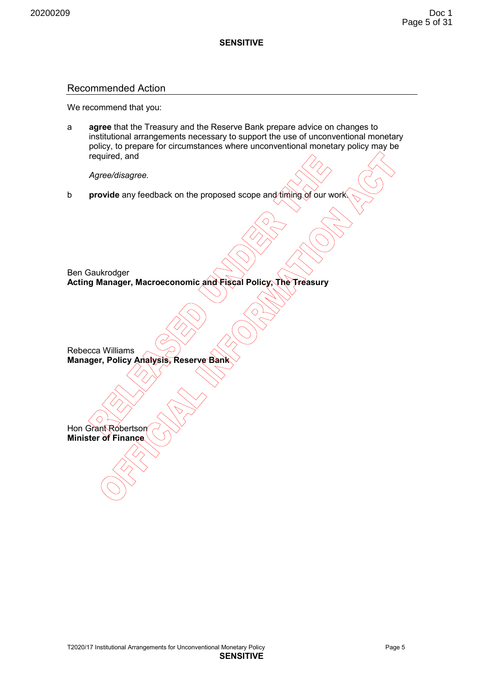#### Recommended Action

We recommend that you:

a **agree** that the Treasury and the Reserve Bank prepare advice on changes to institutional arrangements necessary to support the use of unconventional monetary policy, to prepare for circumstances where unconventional monetary policy may be required, and

 *Agree/disagree.* 

**b provide** any feedback on the proposed scope and timing of our work

Ben Gaukrodger **Acting Manager, Macroeconomic and Fiscal Policy, The Treasury** 

Rebecca Williams **Manager, Policy Analysis, Reserve Bank** 

Hon Grant Robertson **Minister of Finance**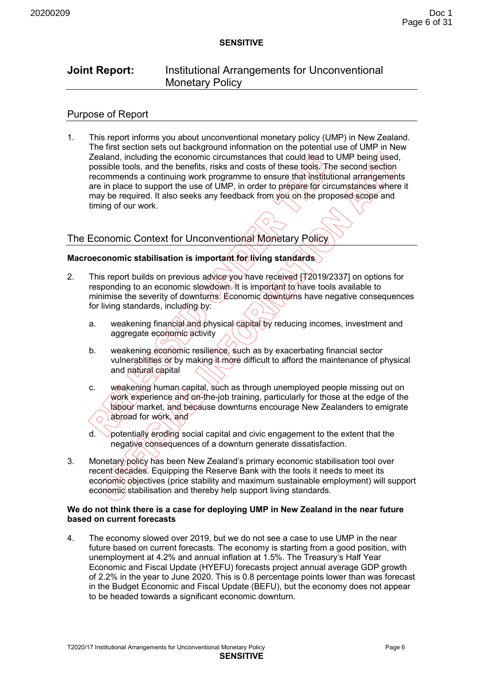# **Joint Report:** Institutional Arrangements for Unconventional Monetary Policy

# Purpose of Report

1. This report informs you about unconventional monetary policy (UMP) in New Zealand. The first section sets out background information on the potential use of UMP in New Zealand, including the economic circumstances that could lead to UMP being used. possible tools, and the benefits, risks and costs of these tools. The second section recommends a continuing work programme to ensure that institutional arrangements are in place to support the use of UMP, in order to prepare for circumstances where it may be required. It also seeks any feedback from  $\gamma$ ou on the proposed scope and timing of our work.

# The Economic Context for Unconventional Monetary Policy

# **Macroeconomic stabilisation is important for living standards**

- 2. This report builds on previous advice you have received  $\overrightarrow{12}019/2337$  on options for responding to an economic slowdown. It is important to have tools available to minimise the severity of downturns. Economic downturns have negative consequences for living standards, including by:
	- a. weakening financial and physical capital by reducing incomes, investment and aggregate economic activity
	- b. weakening economic resilience, such as by exacerbating financial sector vulnerabilities or by making it more difficult to afford the maintenance of physical and natural capital
	- c. weakening human capital, such as through unemployed people missing out on work experience and on-the-job training, particularly for those at the edge of the labour market, and because downturns encourage New Zealanders to emigrate abroad for work, and ◇
	- $d.$  potentially eroding social capital and civic engagement to the extent that the negative consequences of a downturn generate dissatisfaction.
- 3. Monetary policy has been New Zealand's primary economic stabilisation tool over recent decades. Equipping the Reserve Bank with the tools it needs to meet its economic objectives (price stability and maximum sustainable employment) will support economic stabilisation and thereby help support living standards.

#### **We do not think there is a case for deploying UMP in New Zealand in the near future based on current forecasts**

4. The economy slowed over 2019, but we do not see a case to use UMP in the near future based on current forecasts. The economy is starting from a good position, with unemployment at 4.2% and annual inflation at 1.5%. The Treasury's Half Year Economic and Fiscal Update (HYEFU) forecasts project annual average GDP growth of 2.2% in the year to June 2020. This is 0.8 percentage points lower than was forecast in the Budget Economic and Fiscal Update (BEFU), but the economy does not appear to be headed towards a significant economic downturn.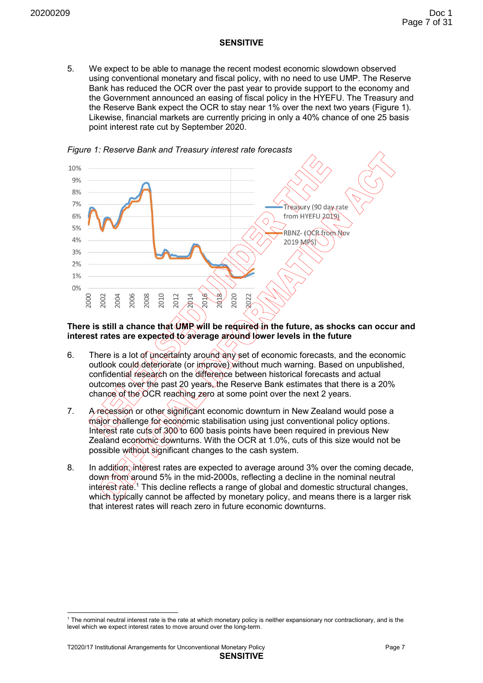5. We expect to be able to manage the recent modest economic slowdown observed using conventional monetary and fiscal policy, with no need to use UMP. The Reserve Bank has reduced the OCR over the past year to provide support to the economy and the Government announced an easing of fiscal policy in the HYEFU. The Treasury and the Reserve Bank expect the OCR to stay near 1% over the next two years (Figure 1). Likewise, financial markets are currently pricing in only a 40% chance of one 25 basis point interest rate cut by September 2020.



*Figure 1: Reserve Bank and Treasury interest rate forecasts* 

**There is still a chance that UMP will be required in the future, as shocks can occur and interest rates are expected to average around lower levels in the future** 

- 6. There is a lot of uncertainty around any set of economic forecasts, and the economic outlook could deteriorate (or improve) without much warning. Based on unpublished, confidential research on the difference between historical forecasts and actual outcomes over the past 20 years, the Reserve Bank estimates that there is a 20% chance of the OCR reaching zero at some point over the next 2 years.
- 7. A recession or other significant economic downturn in New Zealand would pose a major challenge for economic stabilisation using just conventional policy options. Interest rate cuts of 300 to 600 basis points have been required in previous New Zealand economic downturns. With the OCR at 1.0%, cuts of this size would not be possible without significant changes to the cash system.
- 8. In addition, interest rates are expected to average around 3% over the coming decade, down from around 5% in the mid-2000s, reflecting a decline in the nominal neutral interest rate.<sup>1</sup> This decline reflects a range of global and domestic structural changes, which typically cannot be affected by monetary policy, and means there is a larger risk that interest rates will reach zero in future economic downturns.

-

<sup>1</sup> The nominal neutral interest rate is the rate at which monetary policy is neither expansionary nor contractionary, and is the level which we expect interest rates to move around over the long-term.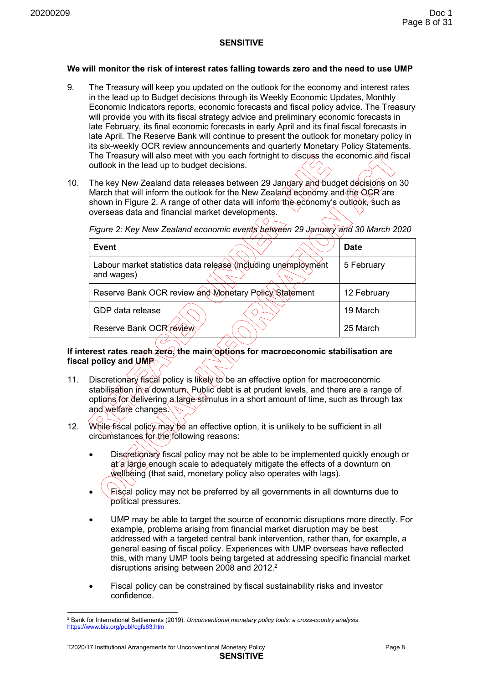#### **We will monitor the risk of interest rates falling towards zero and the need to use UMP**

- 9. The Treasury will keep you updated on the outlook for the economy and interest rates in the lead up to Budget decisions through its Weekly Economic Updates, Monthly Economic Indicators reports, economic forecasts and fiscal policy advice. The Treasury will provide you with its fiscal strategy advice and preliminary economic forecasts in late February, its final economic forecasts in early April and its final fiscal forecasts in late April. The Reserve Bank will continue to present the outlook for monetary policy in its six-weekly OCR review announcements and quarterly Monetary Policy Statements. The Treasury will also meet with you each fortnight to discuss the economic and fiscal outlook in the lead up to budget decisions.
- 10. The key New Zealand data releases between 29 January and budget decisions on 30 March that will inform the outlook for the New Zealand economy and the OCR are shown in Figure 2. A range of other data will inform the economy's outlook, such as overseas data and financial market developments.

| <b>Event</b>                                                                | <b>Date</b> |
|-----------------------------------------------------------------------------|-------------|
| Labour market statistics data release (including unemployment<br>and wages) | 5 February  |
| Reserve Bank OCR review and Monetary Policy Statement                       | 12 February |
| GDP data release                                                            | 19 March    |
| Reserve Bank OCR review                                                     | 25 March    |

*Figure 2: Key New Zealand economic events between 29 January and 30 March 2020* 

 $\bigcap$ 

# **If interest rates reach zero, the main options for macroeconomic stabilisation are**  fiscal policy and UMP<sub>></sub>

- 11. Discretionary fiscal policy is likely to be an effective option for macroeconomic stabilisation in a downturn. Public debt is at prudent levels, and there are a range of options for delivering a large stimulus in a short amount of time, such as through tax and welfare changes.
- 12. While fiscal policy may be an effective option, it is unlikely to be sufficient in all circumstances for the following reasons:
	- Discretionary fiscal policy may not be able to be implemented quickly enough or  $a/\hat{a}$  large enough scale to adequately mitigate the effects of a downturn on wellbeing (that said, monetary policy also operates with lags).
	- Fiscal policy may not be preferred by all governments in all downturns due to political pressures.
	- UMP may be able to target the source of economic disruptions more directly. For example, problems arising from financial market disruption may be best addressed with a targeted central bank intervention, rather than, for example, a general easing of fiscal policy. Experiences with UMP overseas have reflected this, with many UMP tools being targeted at addressing specific financial market disruptions arising between 2008 and 2012.<sup>2</sup>
	- Fiscal policy can be constrained by fiscal sustainability risks and investor confidence.

( H

<sup>-</sup>2 Bank for International Settlements (2019). *Unconventional monetary policy tools: a cross-country analysis*. https://www.bis.org/publ/cgfs63.htm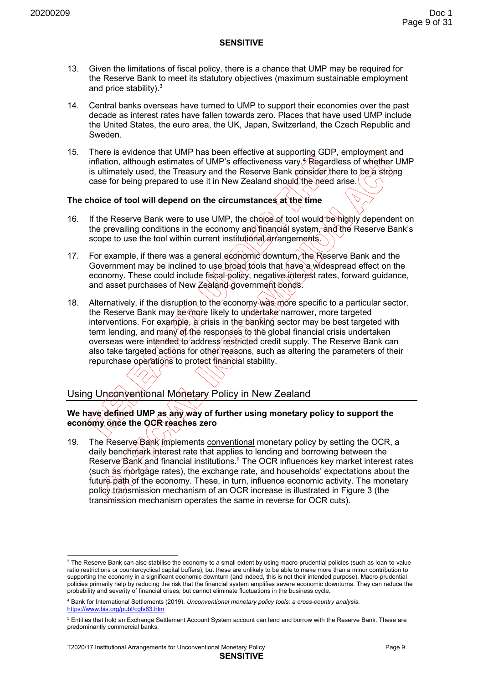- 13. Given the limitations of fiscal policy, there is a chance that UMP may be required for the Reserve Bank to meet its statutory objectives (maximum sustainable employment and price stability). $3$
- 14. Central banks overseas have turned to UMP to support their economies over the past decade as interest rates have fallen towards zero. Places that have used UMP include the United States, the euro area, the UK, Japan, Switzerland, the Czech Republic and Sweden.
- 15. There is evidence that UMP has been effective at supporting GDP, employment and inflation, although estimates of UMP's effectiveness vary. $\cancel{\gamma}$ Regardless of whether UMP  $^2$ is ultimately used, the Treasury and the Reserve Bank consider there to be a strong case for being prepared to use it in New Zealand should the need arise.

# **The choice of tool will depend on the circumstances at the time**

- 16. If the Reserve Bank were to use UMP, the choice of tool would be highly dependent on the prevailing conditions in the economy and financial system, and the Reserve Bank's scope to use the tool within current institutional arrangements.
- 17. For example, if there was a general economic downturn, the Reserve Bank and the Government may be inclined to use broad tools that have a widespread effect on the economy. These could include fiscal policy, negative interest rates, forward quidance, and asset purchases of New Zealand government bonds.
- 18. Alternatively, if the disruption to the economy was more specific to a particular sector, the Reserve Bank may be more likely to undertake narrower, more targeted interventions. For example,  $\alpha$  crisis in the banking sector may be best targeted with term lending, and many of the responses to the global financial crisis undertaken overseas were intended to address restricted credit supply. The Reserve Bank can also take targeted actions for other reasons, such as altering the parameters of their repurchase operations to protect financial stability.

# Using Unconventional Monetary Policy in New Zealand

#### **We have defined UMP as any way of further using monetary policy to support the economy once the OCR reaches zero**

19. The Reserve Bank implements conventional monetary policy by setting the OCR, a daily benchmark interest rate that applies to lending and borrowing between the Reserve Bank and financial institutions.<sup>5</sup> The OCR influences key market interest rates (such as mortgage rates), the exchange rate, and households' expectations about the future path of the economy. These, in turn, influence economic activity. The monetary policy transmission mechanism of an OCR increase is illustrated in Figure 3 (the transmission mechanism operates the same in reverse for OCR cuts).

 3 The Reserve Bank can also stabilise the economy to a small extent by using macro-prudential policies (such as loan-to-value ratio restrictions or countercyclical capital buffers), but these are unlikely to be able to make more than a minor contribution to supporting the economy in a significant economic downturn (and indeed, this is not their intended purpose). Macro-prudential policies primarily help by reducing the risk that the financial system amplifies severe economic downturns. They can reduce the probability and severity of financial crises, but cannot eliminate fluctuations in the business cycle.

<sup>4</sup> Bank for International Settlements (2019). *Unconventional monetary policy tools: a cross-country analysis*. https://www.bis.org/publ/cgfs63.htm

<sup>&</sup>lt;sup>5</sup> Entities that hold an Exchange Settlement Account System account can lend and borrow with the Reserve Bank. These are predominantly commercial banks.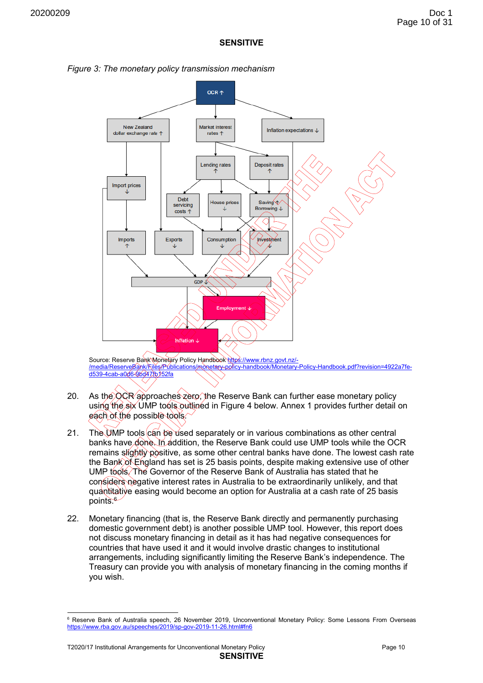



Source: Reserve Bank Monetary Policy Handbook https://www.rbnz.govt.nz/-/media/ReserveBank/Files/Publications/monetary-policy-handbook/Monetary-Policy-Handbook.pdf?revision=4922a7fe-<u>d539-4cab-a0d6-9bd47fb152fa</u>

- 20. As the OCR approaches zero, the Reserve Bank can further ease monetary policy using the six UMP tools outlined in Figure 4 below. Annex 1 provides further detail on each of the possible tools.
- 21. The UMP tools can be used separately or in various combinations as other central banks have done. In addition, the Reserve Bank could use UMP tools while the OCR remains slightly positive, as some other central banks have done. The lowest cash rate the Bank of England has set is 25 basis points, despite making extensive use of other UMP tools. The Governor of the Reserve Bank of Australia has stated that he considers negative interest rates in Australia to be extraordinarily unlikely, and that quantitative easing would become an option for Australia at a cash rate of 25 basis points.<sup>6</sup>
- 22. Monetary financing (that is, the Reserve Bank directly and permanently purchasing domestic government debt) is another possible UMP tool. However, this report does not discuss monetary financing in detail as it has had negative consequences for countries that have used it and it would involve drastic changes to institutional arrangements, including significantly limiting the Reserve Bank's independence. The Treasury can provide you with analysis of monetary financing in the coming months if you wish.

-

<sup>&</sup>lt;sup>6</sup> Reserve Bank of Australia speech, 26 November 2019, Unconventional Monetary Policy: Some Lessons From Overseas https://www.rba.gov.au/speeches/2019/sp-gov-2019-11-26.html#fn6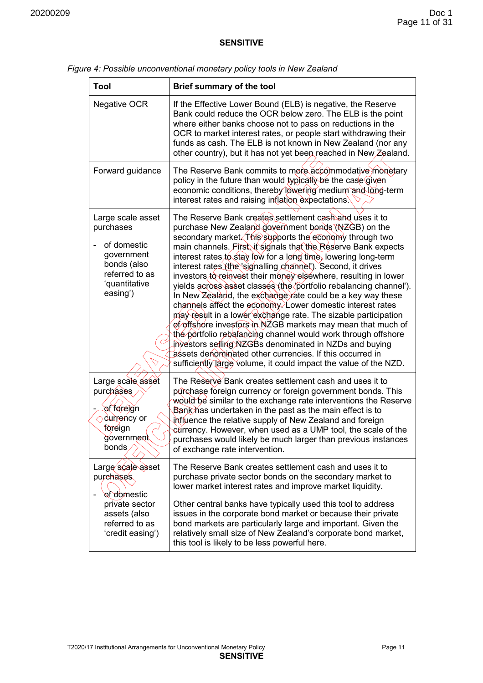#### *Figure 4: Possible unconventional monetary policy tools in New Zealand*

| <b>Tool</b>                                                                                                               | <b>Brief summary of the tool</b>                                                                                                                                                                                                                                                                                                                                                                                                                                                                                                                                                                                                                                                                                                                                                                                                                                                                                                                                                                                                            |  |  |  |
|---------------------------------------------------------------------------------------------------------------------------|---------------------------------------------------------------------------------------------------------------------------------------------------------------------------------------------------------------------------------------------------------------------------------------------------------------------------------------------------------------------------------------------------------------------------------------------------------------------------------------------------------------------------------------------------------------------------------------------------------------------------------------------------------------------------------------------------------------------------------------------------------------------------------------------------------------------------------------------------------------------------------------------------------------------------------------------------------------------------------------------------------------------------------------------|--|--|--|
| Negative OCR                                                                                                              | If the Effective Lower Bound (ELB) is negative, the Reserve<br>Bank could reduce the OCR below zero. The ELB is the point<br>where either banks choose not to pass on reductions in the<br>OCR to market interest rates, or people start withdrawing their<br>funds as cash. The ELB is not known in New Zealand (nor any<br>other country), but it has not yet been reached in New Zealand.                                                                                                                                                                                                                                                                                                                                                                                                                                                                                                                                                                                                                                                |  |  |  |
| Forward guidance                                                                                                          | The Reserve Bank commits to more accommodative monetary<br>policy in the future than would typically be the case given<br>economic conditions, thereby lowering medium and long-term<br>interest rates and raising inflation expectations.                                                                                                                                                                                                                                                                                                                                                                                                                                                                                                                                                                                                                                                                                                                                                                                                  |  |  |  |
| Large scale asset<br>purchases<br>of domestic<br>government<br>bonds (also<br>referred to as<br>'quantitative<br>easing') | The Reserve Bank creates settlement cash and uses it to<br>purchase New Zealand government bonds (NZGB) on the<br>secondary market (This supports the economy through two<br>main channels. First it signals that the Reserve Bank expects<br>interest rates to stay low for a long time, lowering long-term<br>interest rates (the signalling channel). Second, it drives<br>investors to reinvest their money elsewhere, resulting in lower<br>yields across asset classes (the /portfolio rebalancing channel').<br>In New Zealand, the exchange rate could be a key way these<br>channels affect the economy. Lower domestic interest rates<br>may result in a lower exchange rate. The sizable participation<br>of offshore investors in NZGB markets may mean that much of<br>the portfolio rebalancing channel would work through offshore<br>investors selling NZGBs denominated in NZDs and buying<br>assets denominated other currencies. If this occurred in<br>sufficiently large volume, it could impact the value of the NZD. |  |  |  |
| Large scale asset<br>purchases<br>of foreign<br>durrency or<br>foreign<br>government<br>bonds                             | The Reserve Bank creates settlement cash and uses it to<br>purchase foreign currency or foreign government bonds. This<br>would be similar to the exchange rate interventions the Reserve<br>Bank has undertaken in the past as the main effect is to<br>influence the relative supply of New Zealand and foreign<br>currency. However, when used as a UMP tool, the scale of the<br>purchases would likely be much larger than previous instances<br>of exchange rate intervention.                                                                                                                                                                                                                                                                                                                                                                                                                                                                                                                                                        |  |  |  |
| Large scale asset<br>purchases<br>of domestic<br>private sector<br>assets (also<br>referred to as<br>'credit easing')     | The Reserve Bank creates settlement cash and uses it to<br>purchase private sector bonds on the secondary market to<br>lower market interest rates and improve market liquidity.<br>Other central banks have typically used this tool to address<br>issues in the corporate bond market or because their private<br>bond markets are particularly large and important. Given the<br>relatively small size of New Zealand's corporate bond market,<br>this tool is likely to be less powerful here.                                                                                                                                                                                                                                                                                                                                                                                                                                                                                                                                          |  |  |  |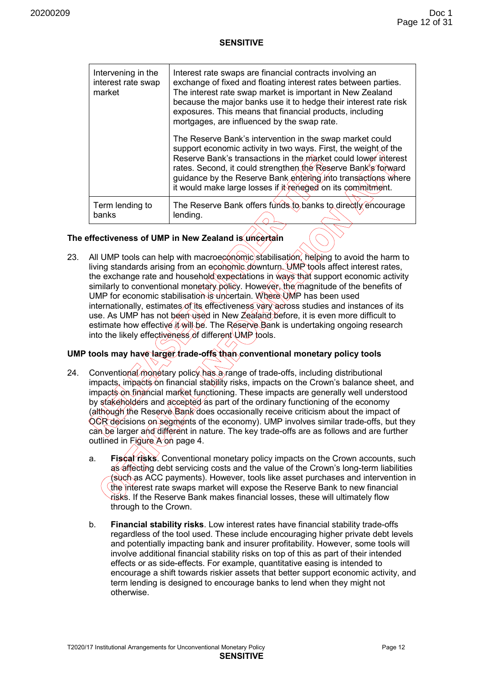| Intervening in the<br>interest rate swap<br>market | Interest rate swaps are financial contracts involving an<br>exchange of fixed and floating interest rates between parties.<br>The interest rate swap market is important in New Zealand<br>because the major banks use it to hedge their interest rate risk<br>exposures. This means that financial products, including<br>mortgages, are influenced by the swap rate.                         |
|----------------------------------------------------|------------------------------------------------------------------------------------------------------------------------------------------------------------------------------------------------------------------------------------------------------------------------------------------------------------------------------------------------------------------------------------------------|
|                                                    | The Reserve Bank's intervention in the swap market could<br>support economic activity in two ways. First, the weight of the<br>Reserve Bank's transactions in the market could lower interest<br>rates. Second, it could strengthen the Reserve Bank's forward<br>guidance by the Reserve Bank entering into transactions where<br>it would make large losses if it reneged on its commitment. |
| Term lending to<br>banks                           | The Reserve Bank offers funds to banks to directly encourage<br>lending.                                                                                                                                                                                                                                                                                                                       |

#### **The effectiveness of UMP in New Zealand is uncertain**

23. All UMP tools can help with macroeconomic stabilisation, helping to avoid the harm to living standards arising from an economic downturn. UMP tools affect interest rates, the exchange rate and household expectations in ways that support economic activity similarly to conventional monetary policy. However, the magnitude of the benefits of UMP for economic stabilisation is uncertain. Where UMP has been used internationally, estimates of its effectiveness vary across studies and instances of its use. As UMP has not been used in New Zealand before, it is even more difficult to estimate how effective *it* will be. The Reserve Bank is undertaking ongoing research into the likely effectiveness of different  $\bigcup_{w \in \mathcal{C}}$  tools.

# **UMP tools may have larger trade-offs than conventional monetary policy tools**

- 24. Conventional monetary policy has a range of trade-offs, including distributional impacts, impacts on financial stability risks, impacts on the Crown's balance sheet, and impacts on financial market functioning. These impacts are generally well understood by stakeholders and accepted as part of the ordinary functioning of the economy (although the Reserve Bank does occasionally receive criticism about the impact of OCR decisions on segments of the economy). UMP involves similar trade-offs, but they can be larger and different in nature. The key trade-offs are as follows and are further outlined in Figure A on page 4.
	- a. **Fiscal risks**. Conventional monetary policy impacts on the Crown accounts, such as affecting debt servicing costs and the value of the Crown's long-term liabilities (such as ACC payments). However, tools like asset purchases and intervention in the interest rate swaps market will expose the Reserve Bank to new financial risks. If the Reserve Bank makes financial losses, these will ultimately flow through to the Crown.
	- b. **Financial stability risks**. Low interest rates have financial stability trade-offs regardless of the tool used. These include encouraging higher private debt levels and potentially impacting bank and insurer profitability. However, some tools will involve additional financial stability risks on top of this as part of their intended effects or as side-effects. For example, quantitative easing is intended to encourage a shift towards riskier assets that better support economic activity, and term lending is designed to encourage banks to lend when they might not otherwise.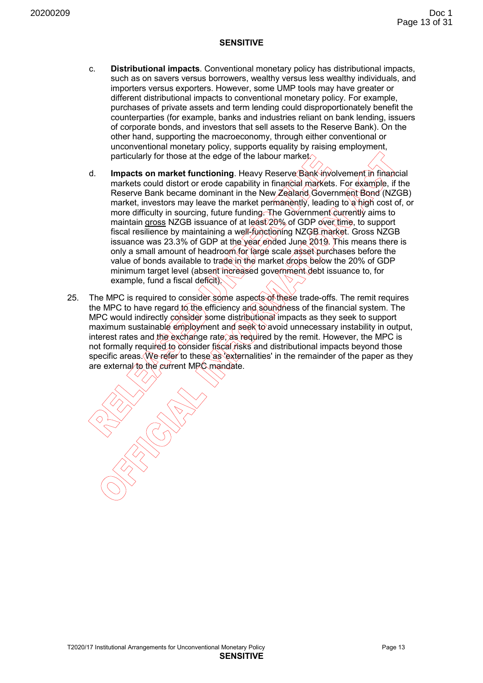- c. **Distributional impacts**. Conventional monetary policy has distributional impacts, such as on savers versus borrowers, wealthy versus less wealthy individuals, and importers versus exporters. However, some UMP tools may have greater or different distributional impacts to conventional monetary policy. For example, purchases of private assets and term lending could disproportionately benefit the counterparties (for example, banks and industries reliant on bank lending, issuers of corporate bonds, and investors that sell assets to the Reserve Bank). On the other hand, supporting the macroeconomy, through either conventional or unconventional monetary policy, supports equality by raising employment, particularly for those at the edge of the labour market.
- d. **Impacts on market functioning**. Heavy Reserve Bank involvement in financial markets could distort or erode capability in financial markets. For example, if the Reserve Bank became dominant in the New Zealand Government Bond (NZGB) market, investors may leave the market permanently, leading to a high cost of, or more difficulty in sourcing, future funding. The Government currently aims to maintain gross NZGB issuance of at least 20% of GDP over time, to support fiscal resilience by maintaining a well-functioning NZGB market. Gross NZGB issuance was 23.3% of GDP at the year ended June 2019. This means there is only a small amount of headroom for large scale asset purchases before the value of bonds available to trade in the market drops below the 20% of GDP minimum target level (absent increased government debt issuance to, for example, fund a fiscal deficit).
- 25. The MPC is required to consider some aspects of these trade-offs. The remit requires the MPC to have regard to the efficiency and soundness of the financial system. The MPC would indirectly consider some distributional impacts as they seek to support maximum sustainable employment and seek to avoid unnecessary instability in output, interest rates and the exchange rate, as required by the remit. However, the MPC is not formally required to consider fiscal risks and distributional impacts beyond those specific areas. We refer to these as 'externalities' in the remainder of the paper as they are external to the current MPC mandate.

T2020/17 Institutional Arrangements for Unconventional Monetary Policy Page 13 **SENSITIVE**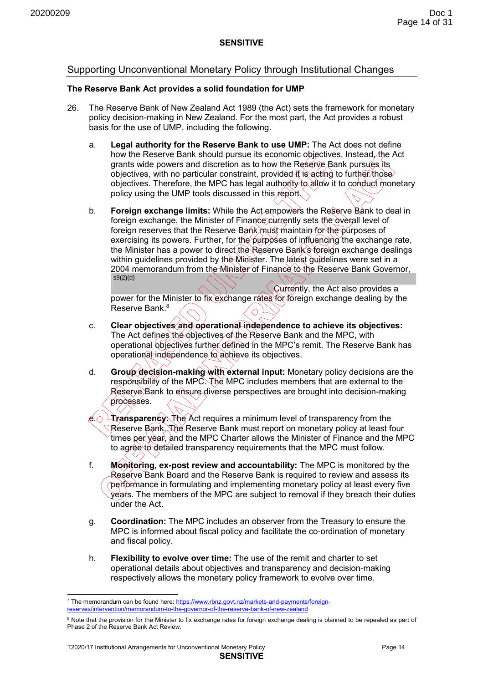# Supporting Unconventional Monetary Policy through Institutional Changes

#### **The Reserve Bank Act provides a solid foundation for UMP**

- 26. The Reserve Bank of New Zealand Act 1989 (the Act) sets the framework for monetary policy decision-making in New Zealand. For the most part, the Act provides a robust basis for the use of UMP, including the following.
	- a. **Legal authority for the Reserve Bank to use UMP:** The Act does not define how the Reserve Bank should pursue its economic objectives. Instead, the Act grants wide powers and discretion as to how the Reserve Bank pursues its objectives, with no particular constraint, provided it is acting to further those objectives. Therefore, the MPC has legal authority to allow it to conduct monetary policy using the UMP tools discussed in this report.
	- b. **Foreign exchange limits:** While the Act empowers the Reserve Bank to deal in foreign exchange, the Minister of Finance currently sets the overall level of foreign reserves that the Reserve Bank must maintain for the purposes of exercising its powers. Further, for the purposes of influencing the exchange rate, the Minister has a power to direct the Reserve Bank's foreign exchange dealings within guidelines provided by the Minister. The latest guidelines were set in a 2004 memorandum from the Minister of Finance to the Reserve Bank Governor, s9(2)(d)

Currently, the Act also provides a power for the Minister to fix exchange rates for foreign exchange dealing by the .<br>Reserve Bank<sup>8</sup>  $\Diamond$ 

- c. **Clear objectives and operational independence to achieve its objectives:**  The Act defines the objectives of the Reserve Bank and the MPC, with operational objectives further defined in the MPC's remit. The Reserve Bank has operational independence to achieve its objectives.
- d. **Group decision-making with external input:** Monetary policy decisions are the responsibility of the MPC. The MPC includes members that are external to the Reserve Bank to ensure diverse perspectives are brought into decision-making processes.
- e. **Transparency:** The Act requires a minimum level of transparency from the Reserve Bank. The Reserve Bank must report on monetary policy at least four times per year, and the MPC Charter allows the Minister of Finance and the MPC to agree to detailed transparency requirements that the MPC must follow.
- f. **Monitoring, ex-post review and accountability:** The MPC is monitored by the Reserve Bank Board and the Reserve Bank is required to review and assess its performance in formulating and implementing monetary policy at least every five years. The members of the MPC are subject to removal if they breach their duties under the Act.
- g. **Coordination:** The MPC includes an observer from the Treasury to ensure the MPC is informed about fiscal policy and facilitate the co-ordination of monetary and fiscal policy.
- h. **Flexibility to evolve over time:** The use of the remit and charter to set operational details about objectives and transparency and decision-making respectively allows the monetary policy framework to evolve over time.

 7 The memorandum can be found here: https://www.rbnz.govt.nz/markets-and-payments/foreignreserves/intervention/memorandum-to-the-governor-of-the-reserve-bank-of-new-zealand

<sup>&</sup>lt;sup>8</sup> Note that the provision for the Minister to fix exchange rates for foreign exchange dealing is planned to be repealed as part of Phase 2 of the Reserve Bank Act Review.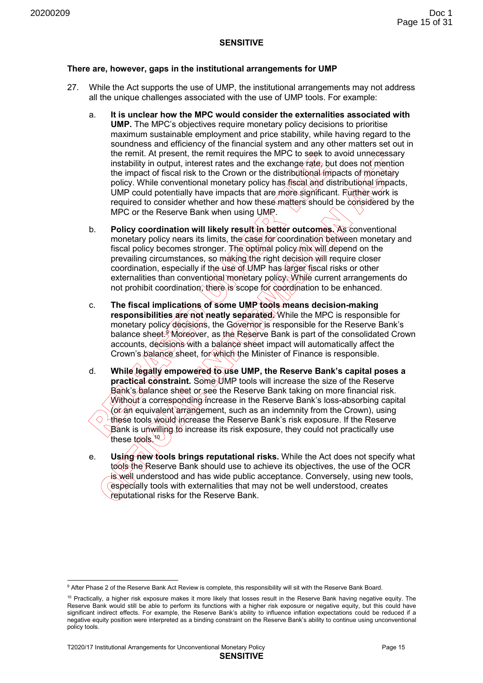#### **There are, however, gaps in the institutional arrangements for UMP**

- 27. While the Act supports the use of UMP, the institutional arrangements may not address all the unique challenges associated with the use of UMP tools. For example:
	- a. **It is unclear how the MPC would consider the externalities associated with UMP.** The MPC's objectives require monetary policy decisions to prioritise maximum sustainable employment and price stability, while having regard to the soundness and efficiency of the financial system and any other matters set out in the remit. At present, the remit requires the MPC to seek to avoid unnecessary instability in output, interest rates and the exchange rate, but does not mention the impact of fiscal risk to the Crown or the distributional impacts of monetary policy. While conventional monetary policy has fiscal and distributional impacts, UMP could potentially have impacts that are more significant. Further work is required to consider whether and how these matters should be considered by the MPC or the Reserve Bank when using UMP.
	- b. **Policy coordination will likely result in better outcomes.** As conventional monetary policy nears its limits, the case for coordination between monetary and fiscal policy becomes stronger. The optimal policy mix will depend on the prevailing circumstances, so making the right decision will require closer coordination, especially if the use of UMP has larger fiscal risks or other externalities than conventional monetary policy. While current arrangements do not prohibit coordination, there is scope for coordination to be enhanced.
	- c. **The fiscal implications of some UMP tools means decision-making** responsibilities are not neatly separated. While the MPC is responsible for monetary policy decisions, the Governor is responsible for the Reserve Bank's balance sheet.<sup>9</sup> Moreover, as the Reserve Bank is part of the consolidated Crown accounts, decisions with a balance sheet impact will automatically affect the Crown's balance sheet, for which the Minister of Finance is responsible.
	- d. **While legally empowered to use UMP, the Reserve Bank's capital poses a practical constraint.** Some UMP tools will increase the size of the Reserve Bank's balance sheet or see the Reserve Bank taking on more financial risk. Without a corresponding increase in the Reserve Bank's loss-absorbing capital (or an equivalent arrangement, such as an indemnity from the Crown), using ◇ these tools would increase the Reserve Bank's risk exposure. If the Reserve  $\,$ Bank is unwilling to increase its risk exposure, they could not practically use these tools. $\sqrt[10]{}$
	- e. **Using new tools brings reputational risks.** While the Act does not specify what tools the Reserve Bank should use to achieve its objectives, the use of the OCR is well understood and has wide public acceptance. Conversely, using new tools, especially tools with externalities that may not be well understood, creates reputational risks for the Reserve Bank.

<sup>-</sup>9 After Phase 2 of the Reserve Bank Act Review is complete, this responsibility will sit with the Reserve Bank Board.

 $10$  Practically, a higher risk exposure makes it more likely that losses result in the Reserve Bank having negative equity. The Reserve Bank would still be able to perform its functions with a higher risk exposure or negative equity, but this could have significant indirect effects. For example, the Reserve Bank's ability to influence inflation expectations could be reduced if a negative equity position were interpreted as a binding constraint on the Reserve Bank's ability to continue using unconventional policy tools.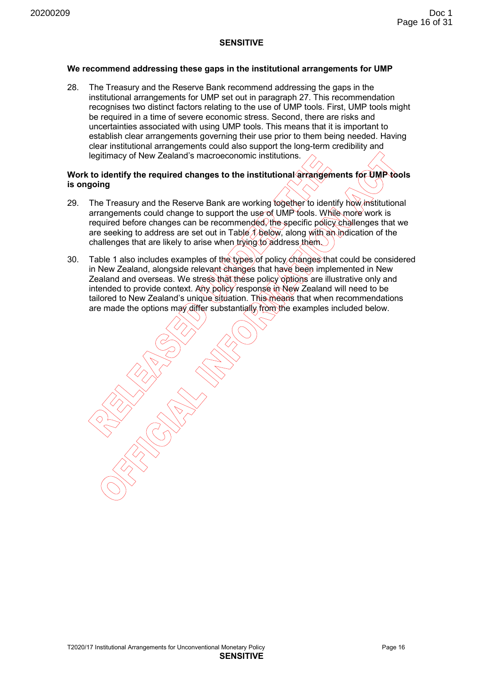#### **We recommend addressing these gaps in the institutional arrangements for UMP**

28. The Treasury and the Reserve Bank recommend addressing the gaps in the institutional arrangements for UMP set out in paragraph 27. This recommendation recognises two distinct factors relating to the use of UMP tools. First, UMP tools might be required in a time of severe economic stress. Second, there are risks and uncertainties associated with using UMP tools. This means that it is important to establish clear arrangements governing their use prior to them being needed. Having clear institutional arrangements could also support the long-term credibility and legitimacy of New Zealand's macroeconomic institutions.

#### Work to identify the required changes to the institutional arrangements for UMP tools **is ongoing**

- 29. The Treasury and the Reserve Bank are working together to identify how institutional arrangements could change to support the use of UMP tools. While more work is required before changes can be recommended, the specific policy challenges that we are seeking to address are set out in Table  $\Lambda$  below, along with an indication of the challenges that are likely to arise when trying to address them.
- 30. Table 1 also includes examples of the types of policy changes that could be considered in New Zealand, alongside relevant changes that have been implemented in New Zealand and overseas. We stress that these policy options are illustrative only and intended to provide context. Any policy response in New Zealand will need to be tailored to New Zealand's unique situation. This means that when recommendations are made the options may differ substantially from the examples included below.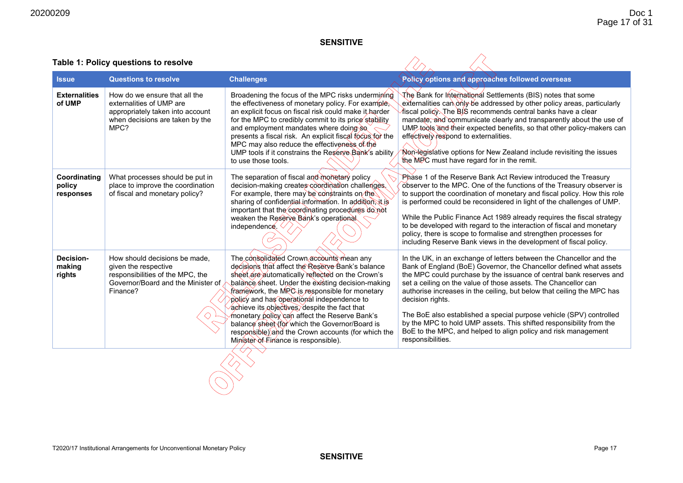| Table 1: Policy questions to resolve |
|--------------------------------------|
|--------------------------------------|

| <b>Issue</b>                         | <b>Questions to resolve</b>                                                                                                                 | <b>Challenges</b>                                                                                                                                                                                                                                                                                                                                                                                                                                                                                                                                        | Policy options and approaches followed overseas                                                                                                                                                                                                                                                                                                                                                                                                                                                                                                                                                                       |
|--------------------------------------|---------------------------------------------------------------------------------------------------------------------------------------------|----------------------------------------------------------------------------------------------------------------------------------------------------------------------------------------------------------------------------------------------------------------------------------------------------------------------------------------------------------------------------------------------------------------------------------------------------------------------------------------------------------------------------------------------------------|-----------------------------------------------------------------------------------------------------------------------------------------------------------------------------------------------------------------------------------------------------------------------------------------------------------------------------------------------------------------------------------------------------------------------------------------------------------------------------------------------------------------------------------------------------------------------------------------------------------------------|
| <b>Externalities</b><br>of UMP       | How do we ensure that all the<br>externalities of UMP are<br>appropriately taken into account<br>when decisions are taken by the<br>MPC?    | Broadening the focus of the MPC risks undermining<br>the effectiveness of monetary policy. For example,<br>an explicit focus on fiscal risk could make it harder<br>for the MPC to credibly commit to its price stability<br>and employment mandates where doing so<br>presents a fiscal risk. An explicit fiscal focus for the<br>MPC may also reduce the effectiveness of the<br>UMP tools if it constrains the Reserve Bank's ability<br>to use those tools.                                                                                          | र्ीोड़ Bank for International Settlements (BIS) notes that some<br>externalities can only be addressed by other policy areas, particularly<br>∕fiscal policy. The BIS recommends central banks have a clear<br>mandate, and communicate clearly and transparently about the use of<br>UMP tools and their expected benefits, so that other policy-makers can<br>effectively respond to externalities.<br>Non-legislative options for New Zealand include revisiting the issues<br>the MPC must have regard for in the remit.                                                                                          |
| Coordinating<br>policy<br>responses  | What processes should be put in<br>place to improve the coordination<br>of fiscal and monetary policy?                                      | The separation of fiscal and monetary policy<br>decision-making creates coordination challenges.<br>For example, there may be constraints on the<br>sharing of confidential information. In addition, it is<br>important that the coordinating procedures do not<br>weaken the Reserve Bank's operational<br>independence.                                                                                                                                                                                                                               | Phase 1 of the Reserve Bank Act Review introduced the Treasury<br>observer to the MPC. One of the functions of the Treasury observer is<br>to support the coordination of monetary and fiscal policy. How this role<br>is performed could be reconsidered in light of the challenges of UMP.<br>While the Public Finance Act 1989 already requires the fiscal strategy<br>to be developed with regard to the interaction of fiscal and monetary<br>policy, there is scope to formalise and strengthen processes for<br>including Reserve Bank views in the development of fiscal policy.                              |
| <b>Decision-</b><br>making<br>rights | How should decisions be made,<br>given the respective<br>responsibilities of the MPC, the<br>Governor/Board and the Minister of<br>Finance? | The consolidated Crown accounts mean any<br>decisions that affect the Reserve Bank's balance<br>sheet are automatically reflected on the Crown's<br>balance sheet. Under the existing decision-making<br>framework, the MPC is responsible for monetary<br>policy and has operational independence to<br>achieve its objectives, despite the fact that<br>monetary policy can affect the Reserve Bank's<br>balance sheet (for which the Governor/Board is<br>responsible)) and the Crown accounts (for which the<br>Minister of Einance is responsible). | In the UK, in an exchange of letters between the Chancellor and the<br>Bank of England (BoE) Governor, the Chancellor defined what assets<br>the MPC could purchase by the issuance of central bank reserves and<br>set a ceiling on the value of those assets. The Chancellor can<br>authorise increases in the ceiling, but below that ceiling the MPC has<br>decision rights.<br>The BoE also established a special purpose vehicle (SPV) controlled<br>by the MPC to hold UMP assets. This shifted responsibility from the<br>BoE to the MPC, and helped to align policy and risk management<br>responsibilities. |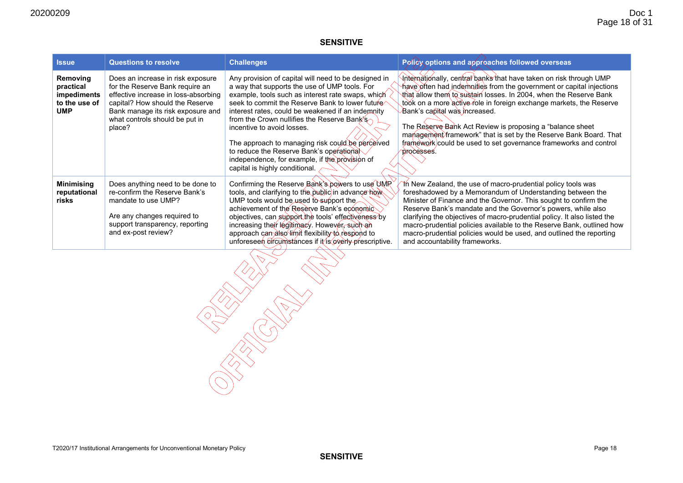| <b>Issue</b>                                                        | <b>Questions to resolve</b>                                                                                                                                                                                                      | <b>Challenges</b>                                                                                                                                                                                                                                                                                                                                                                                                                                                                                                                   | Policy options and approaches followed overseas                                                                                                                                                                                                                                                                                                                                                                                                                                                                                              |
|---------------------------------------------------------------------|----------------------------------------------------------------------------------------------------------------------------------------------------------------------------------------------------------------------------------|-------------------------------------------------------------------------------------------------------------------------------------------------------------------------------------------------------------------------------------------------------------------------------------------------------------------------------------------------------------------------------------------------------------------------------------------------------------------------------------------------------------------------------------|----------------------------------------------------------------------------------------------------------------------------------------------------------------------------------------------------------------------------------------------------------------------------------------------------------------------------------------------------------------------------------------------------------------------------------------------------------------------------------------------------------------------------------------------|
| Removing<br>practical<br>impediments<br>to the use of<br><b>UMP</b> | Does an increase in risk exposure<br>for the Reserve Bank require an<br>effective increase in loss-absorbing<br>capital? How should the Reserve<br>Bank manage its risk exposure and<br>what controls should be put in<br>place? | Any provision of capital will need to be designed in<br>a way that supports the use of UMP tools. For<br>example, tools such as interest rate swaps, which<br>seek to commit the Reserve Bank to lower future<br>interest rates, could be weakened if an indemnity<br>from the Crown nullifies the Reserve Bank's<br>incentive to avoid losses.<br>The approach to managing risk could be perceived<br>to reduce the Reserve Bank's operational<br>independence, for example, if the provision of<br>capital is highly conditional. | Internationally, central banks that have taken on risk through UMP<br>∱ave often had indemnities from the government or capital injections<br>that allow them to sustain losses. In 2004, when the Reserve Bank<br>took on a more active role in foreign exchange markets, the Reserve<br>Bank's capital was increased.<br>The Reserve Bank Act Review is proposing a "balance sheet"<br>management framework" that is set by the Reserve Bank Board. That<br>framework/could be used to set governance frameworks and control<br>processes. |
| <b>Minimising</b><br>reputational<br>risks                          | Does anything need to be done to<br>re-confirm the Reserve Bank's<br>mandate to use UMP?<br>Are any changes required to<br>support transparency, reporting<br>and ex-post review?                                                | Confirming the Reserve Bank's powers to use UMR<br>tools, and clarifying to the public in advance how<br>UMP tools would be used to support the<br>achievement of the Reserve Bank's economic<br>objectives, can support the tools' effectiveness by<br>increasing their legitimacy. However, such an<br>approach can also limit flexibility to respond to<br>unforeseen effcumstances if it is overly prescriptive.                                                                                                                | Th New Zealand, the use of macro-prudential policy tools was<br>foreshadowed by a Memorandum of Understanding between the<br>Minister of Finance and the Governor. This sought to confirm the<br>Reserve Bank's mandate and the Governor's powers, while also<br>clarifying the objectives of macro-prudential policy. It also listed the<br>macro-prudential policies available to the Reserve Bank, outlined how<br>macro-prudential policies would be used, and outlined the reporting<br>and accountability frameworks.                  |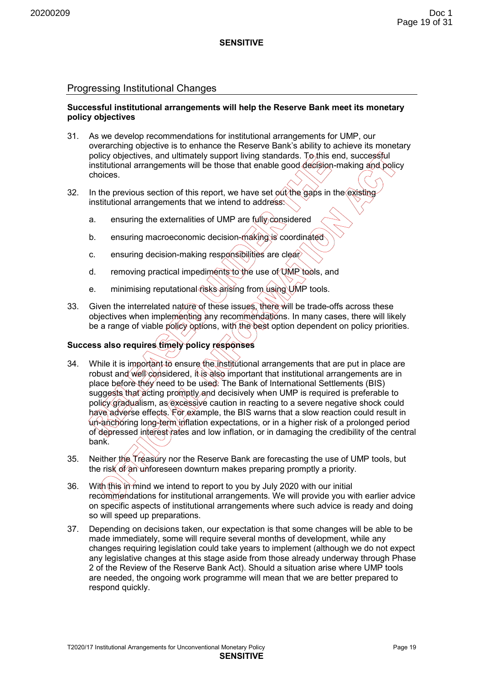#### Progressing Institutional Changes

#### **Successful institutional arrangements will help the Reserve Bank meet its monetary policy objectives**

- 31. As we develop recommendations for institutional arrangements for UMP, our overarching objective is to enhance the Reserve Bank's ability to achieve its monetary policy objectives, and ultimately support living standards. To this end, successful institutional arrangements will be those that enable good decision-making and policy choices.
- 32. In the previous section of this report, we have set out the gaps in the existing institutional arrangements that we intend to address:
	- a. ensuring the externalities of UMP are  $f(x||y)$  considered
	- b. ensuring macroeconomic decision-making is coordinated
	- c. ensuring decision-making responsibilities are clear
	- d. removing practical impediments to the use of UMP tools, and
	- e. minimising reputational risks arising from using UMP tools.
- 33. Given the interrelated nature of these issues, there will be trade-offs across these objectives when implementing any recommendations. In many cases, there will likely be a range of viable policy options, with the best option dependent on policy priorities.

# **Success also requires timely policy responses**

- 34. While it is important to ensure the institutional arrangements that are put in place are robust and well considered, it is also important that institutional arrangements are in place before they need to be used. The Bank of International Settlements (BIS) suggests that acting promptly and decisively when UMP is required is preferable to policy gradualism, as excessive caution in reacting to a severe negative shock could have adverse effects. For example, the BIS warns that a slow reaction could result in un-anchoring long-term inflation expectations, or in a higher risk of a prolonged period of depressed interest rates and low inflation, or in damaging the credibility of the central bank.
- 35. Neither the Treasury nor the Reserve Bank are forecasting the use of UMP tools, but the risk of an unforeseen downturn makes preparing promptly a priority.
- 36. With this in mind we intend to report to you by July 2020 with our initial recommendations for institutional arrangements. We will provide you with earlier advice on specific aspects of institutional arrangements where such advice is ready and doing so will speed up preparations.
- 37. Depending on decisions taken, our expectation is that some changes will be able to be made immediately, some will require several months of development, while any changes requiring legislation could take years to implement (although we do not expect any legislative changes at this stage aside from those already underway through Phase 2 of the Review of the Reserve Bank Act). Should a situation arise where UMP tools are needed, the ongoing work programme will mean that we are better prepared to respond quickly.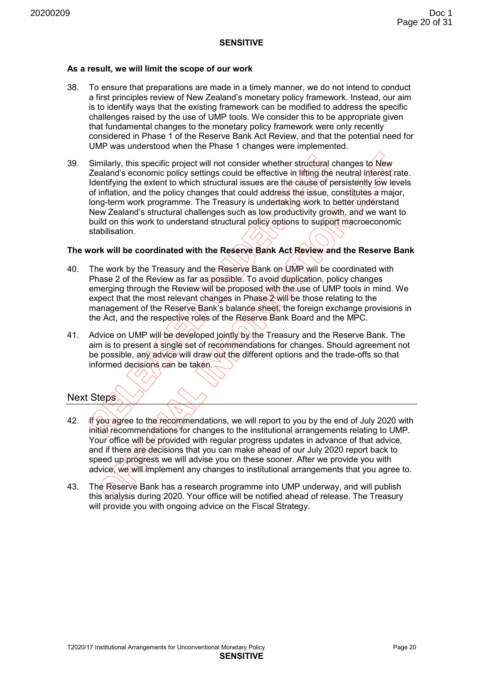#### **As a result, we will limit the scope of our work**

- 38. To ensure that preparations are made in a timely manner, we do not intend to conduct a first principles review of New Zealand's monetary policy framework. Instead, our aim is to identify ways that the existing framework can be modified to address the specific challenges raised by the use of UMP tools. We consider this to be appropriate given that fundamental changes to the monetary policy framework were only recently considered in Phase 1 of the Reserve Bank Act Review, and that the potential need for UMP was understood when the Phase 1 changes were implemented.
- 39. Similarly, this specific project will not consider whether structural changes to New Zealand's economic policy settings could be effective in lifting the neutral interest rate. Identifying the extent to which structural issues are the cause of persistently low levels of inflation, and the policy changes that could address the issue, constitutes a major, long-term work programme. The Treasury is undertaking work to better understand New Zealand's structural challenges such as low productivity growth, and we want to build on this work to understand structural policy options to support macroeconomic stabilisation.

#### **The work will be coordinated with the Reserve Bank Act Review and the Reserve Bank**

- 40. The work by the Treasury and the Reserve Bank on UMP will be coordinated with Phase 2 of the Review as far as possible. To avoid duplication, policy changes emerging through the Review will be proposed with the use of UMP tools in mind. We expect that the most relevant changes in Phase 2 will be those relating to the management of the Reserve Bank's balance sheet, the foreign exchange provisions in the Act, and the respective roles of the Reserve Bank Board and the MPC.
- 41. Advice on UMP will be developed jointly by the Treasury and the Reserve Bank. The aim is to present a single set of recommendations for changes. Should agreement not be possible, any advice will draw out the different options and the trade-offs so that informed decisions can be taken.

#### Next Steps

- 42. If you agree to the recommendations, we will report to you by the end of July 2020 with initial recommendations for changes to the institutional arrangements relating to UMP. Your office will be provided with regular progress updates in advance of that advice, and if there are decisions that you can make ahead of our July 2020 report back to speed up progress we will advise you on these sooner. After we provide you with advice, we will implement any changes to institutional arrangements that you agree to.
- 43. The Reserve Bank has a research programme into UMP underway, and will publish this analysis during 2020. Your office will be notified ahead of release. The Treasury will provide you with ongoing advice on the Fiscal Strategy.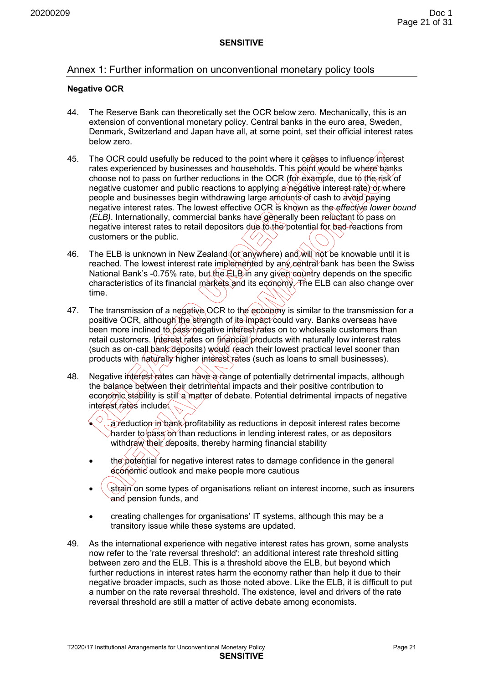#### Annex 1: Further information on unconventional monetary policy tools

#### **Negative OCR**

- 44. The Reserve Bank can theoretically set the OCR below zero. Mechanically, this is an extension of conventional monetary policy. Central banks in the euro area, Sweden, Denmark, Switzerland and Japan have all, at some point, set their official interest rates below zero.
- 45. The OCR could usefully be reduced to the point where it ceases to influence interest rates experienced by businesses and households. This point would be where banks choose not to pass on further reductions in the OCR (for example, due to the risk of negative customer and public reactions to applying a negative interest rate) or where people and businesses begin withdrawing large amounts of cash to avoid paying negative interest rates. The lowest effective OCR is known as the *effective lower bound (ELB)*. Internationally, commercial banks have generally been reluctant to pass on negative interest rates to retail depositors due to the potential for bad reactions from customers or the public.
- 46. The ELB is unknown in New Zealand (or anywhere) and will not be knowable until it is reached. The lowest interest rate implemented by any central bank has been the Swiss National Bank's -0.75% rate, but the ELB in any given country depends on the specific characteristics of its financial markets and its economy. The ELB can also change over time.
- 47. The transmission of a negative OCR to the economy is similar to the transmission for a positive OCR, although the strength of its impact could vary. Banks overseas have been more inclined to pass negative interest rates on to wholesale customers than retail customers. Interest rates on financial products with naturally low interest rates (such as on-call bank deposits) would reach their lowest practical level sooner than products with naturally higher interest rates (such as loans to small businesses).
- 48. Negative interest vates can have a range of potentially detrimental impacts, although the balance between their detrimental impacts and their positive contribution to economic stability is still a matter of debate. Potential detrimental impacts of negative interest rates include

a reduction in bank profitability as reductions in deposit interest rates become  $\lambda$ harder to pass on than reductions in lending interest rates, or as depositors withdraw their deposits, thereby harming financial stability

- the potential for negative interest rates to damage confidence in the general economic outlook and make people more cautious
- strain on some types of organisations reliant on interest income, such as insurers and pension funds, and
- creating challenges for organisations' IT systems, although this may be a transitory issue while these systems are updated.
- 49. As the international experience with negative interest rates has grown, some analysts now refer to the 'rate reversal threshold': an additional interest rate threshold sitting between zero and the ELB. This is a threshold above the ELB, but beyond which further reductions in interest rates harm the economy rather than help it due to their negative broader impacts, such as those noted above. Like the ELB, it is difficult to put a number on the rate reversal threshold. The existence, level and drivers of the rate reversal threshold are still a matter of active debate among economists.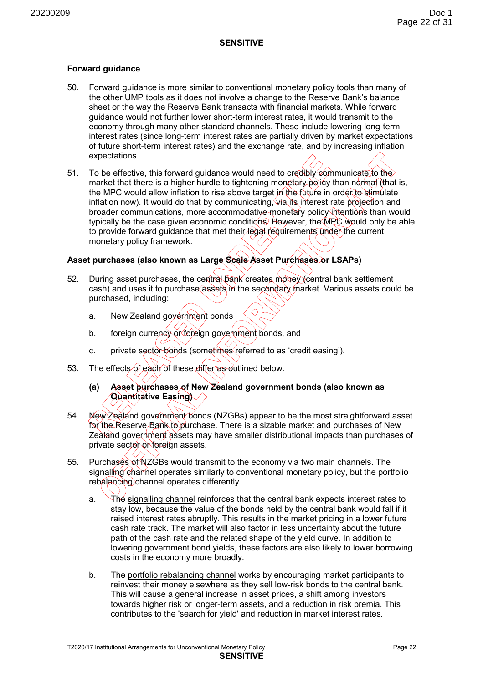#### **Forward guidance**

- 50. Forward guidance is more similar to conventional monetary policy tools than many of the other UMP tools as it does not involve a change to the Reserve Bank's balance sheet or the way the Reserve Bank transacts with financial markets. While forward guidance would not further lower short-term interest rates, it would transmit to the economy through many other standard channels. These include lowering long-term interest rates (since long-term interest rates are partially driven by market expectations of future short-term interest rates) and the exchange rate, and by increasing inflation expectations.
- 51. To be effective, this forward quidance would need to credibly communicate to the market that there is a higher hurdle to tightening monetary policy than normal (that is, the MPC would allow inflation to rise above target in the future in order to stimulate inflation now). It would do that by communicating, via its interest rate projection and broader communications, more accommodative monetary policy intentions than would typically be the case given economic conditions. However, the MPC would only be able to provide forward guidance that met their legal requirements under the current monetary policy framework.

#### **Asset purchases (also known as Large Scale Asset Purchases or LSAPs)**

- 52. During asset purchases, the central bank creates money (central bank settlement cash) and uses it to purchase assets in the secondary market. Various assets could be purchased, including:
	- a. New Zealand government bonds
	- b. foreign currency or foreign government bonds, and
	- c. private sector bonds (sometimes referred to as 'credit easing').
- 53. The effects of each of these differ as outlined below.
	- **(a) Asset purchases of New Zealand government bonds (also known as Quantitative Easing)**
- 54. New Zealand government bonds (NZGBs) appear to be the most straightforward asset for the Reserve Bank to purchase. There is a sizable market and purchases of New Zealand government assets may have smaller distributional impacts than purchases of private sector or foreign assets.
- 55. Purchases of NZGBs would transmit to the economy via two main channels. The signalling channel operates similarly to conventional monetary policy, but the portfolio rebalancing channel operates differently.
	- a. The signalling channel reinforces that the central bank expects interest rates to stay low, because the value of the bonds held by the central bank would fall if it raised interest rates abruptly. This results in the market pricing in a lower future cash rate track. The market will also factor in less uncertainty about the future path of the cash rate and the related shape of the yield curve. In addition to lowering government bond yields, these factors are also likely to lower borrowing costs in the economy more broadly.
	- b. The portfolio rebalancing channel works by encouraging market participants to reinvest their money elsewhere as they sell low-risk bonds to the central bank. This will cause a general increase in asset prices, a shift among investors towards higher risk or longer-term assets, and a reduction in risk premia. This contributes to the 'search for yield' and reduction in market interest rates.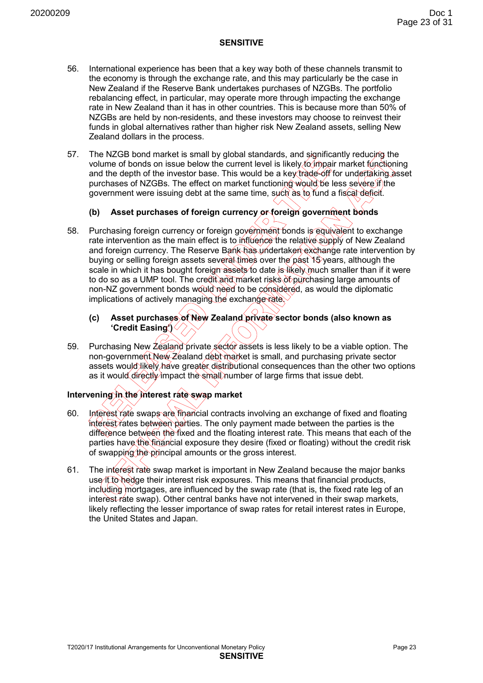- 56. International experience has been that a key way both of these channels transmit to the economy is through the exchange rate, and this may particularly be the case in New Zealand if the Reserve Bank undertakes purchases of NZGBs. The portfolio rebalancing effect, in particular, may operate more through impacting the exchange rate in New Zealand than it has in other countries. This is because more than 50% of NZGBs are held by non-residents, and these investors may choose to reinvest their funds in global alternatives rather than higher risk New Zealand assets, selling New Zealand dollars in the process.
- 57. The NZGB bond market is small by global standards, and significantly reducing the volume of bonds on issue below the current level is likely to impair market functioning and the depth of the investor base. This would be a key trade-off for undertaking asset purchases of NZGBs. The effect on market functioning would be less severe if the government were issuing debt at the same time, such as to fund a fiscal deficit.

# **(b) Asset purchases of foreign currency or foreign government bonds**

- 58. Purchasing foreign currency or foreign government bonds is equivalent to exchange rate intervention as the main effect is to influence the relative supply of New Zealand and foreign currency. The Reserve Bank has undertaken exchange rate intervention by buying or selling foreign assets several times over the past 15 years, although the scale in which it has bought foreign assets to date is likely much smaller than if it were to do so as a UMP tool. The credit and market risks of purchasing large amounts of non-NZ government bonds would need to be considered, as would the diplomatic implications of actively managing the exchange rate.
	- **(c) Asset purchases of New Zealand private sector bonds (also known as 'Credit Easing')**
- 59. Purchasing New Zealand private sector assets is less likely to be a viable option. The non-government New Zealand debt market is small, and purchasing private sector assets would likely have greater distributional consequences than the other two options as it would directly impact the small number of large firms that issue debt.

# **Intervening in the interest rate swap market**

- 60. Interest rate swaps are financial contracts involving an exchange of fixed and floating interest rates between parties. The only payment made between the parties is the difference between the fixed and the floating interest rate. This means that each of the parties have the financial exposure they desire (fixed or floating) without the credit risk of swapping the principal amounts or the gross interest.
- 61. The interest rate swap market is important in New Zealand because the major banks use it to hedge their interest risk exposures. This means that financial products, including mortgages, are influenced by the swap rate (that is, the fixed rate leg of an interest rate swap). Other central banks have not intervened in their swap markets, likely reflecting the lesser importance of swap rates for retail interest rates in Europe, the United States and Japan.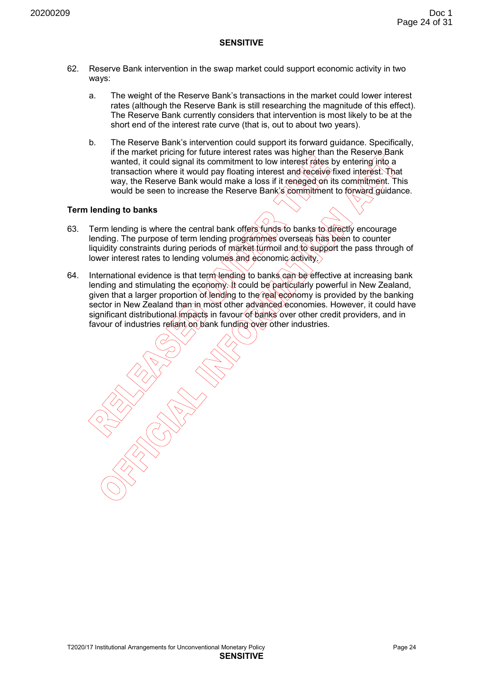- 62. Reserve Bank intervention in the swap market could support economic activity in two ways:
	- a. The weight of the Reserve Bank's transactions in the market could lower interest rates (although the Reserve Bank is still researching the magnitude of this effect). The Reserve Bank currently considers that intervention is most likely to be at the short end of the interest rate curve (that is, out to about two years).
	- b. The Reserve Bank's intervention could support its forward guidance. Specifically, if the market pricing for future interest rates was higher than the Reserve Bank wanted, it could signal its commitment to low interest rates by entering into a transaction where it would pay floating interest and receive fixed interest. That way, the Reserve Bank would make a loss if it reneged on its commitment. This would be seen to increase the Reserve Bank's commitment to forward quidance.

#### **Term lending to banks**

- 63. Term lending is where the central bank offers funds to banks to directly encourage lending. The purpose of term lending programmes overseas has been to counter liquidity constraints during periods of market turmoil and to support the pass through of lower interest rates to lending volumes and economic activity.
- 64. International evidence is that term lending to banks can be effective at increasing bank lending and stimulating the economy. It could be particularly powerful in New Zealand, given that a larger proportion of lending to the real economy is provided by the banking sector in New Zealand than in most other advanced economies. However, it could have significant distributional impacts in favour of banks over other credit providers, and in favour of industries reliant on bank funding over other industries.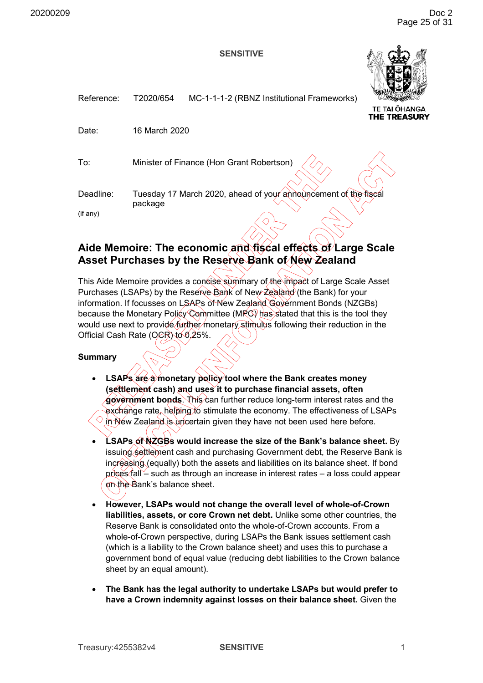

**REASURY** 

<span id="page-27-0"></span>

| Reference: | T2020/654                                                                  | MC-1-1-1-2 (RBNZ Institutional Frameworks) | <b>TE TAI OHANGA</b><br><b>THE TREASUR</b> |
|------------|----------------------------------------------------------------------------|--------------------------------------------|--------------------------------------------|
| Date:      | 16 March 2020                                                              |                                            |                                            |
| To:        |                                                                            | Minister of Finance (Hon Grant Robertson)  |                                            |
| Deadline:  | Tuesday 17 March 2020, ahead of your announcement of the fiscal<br>package |                                            |                                            |
| (if any)   |                                                                            |                                            |                                            |

# **Aide Memoire: The economic and fiscal effects of Large Scale Asset Purchases by the Reserve Bank of New Zealand**

This Aide Memoire provides a concise summary of the impact of Large Scale Asset Purchases (LSAPs) by the Reserve Bank of New Zealand (the Bank) for your information. If focusses on LSAPs of New Zealand Government Bonds (NZGBs) because the Monetary Policy Committee (MPC) has stated that this is the tool they would use next to provide further monetary stimulus following their reduction in the Official Cash Rate (OCR) to 0.25%.

#### **Summary**

- **LSAPs are a monetary policy tool where the Bank creates money (settlement cash) and uses it to purchase financial assets, often government bonds**. This can further reduce long-term interest rates and the exchange rate, helping to stimulate the economy. The effectiveness of LSAPs  $\heartsuit$  in New Zealand is uncertain given they have not been used here before.
- **LSAPs of NZGBs would increase the size of the Bank's balance sheet.** By issuing settlement cash and purchasing Government debt, the Reserve Bank is increasing (equally) both the assets and liabilities on its balance sheet. If bond prices fall – such as through an increase in interest rates – a loss could appear on the Bank's balance sheet.
- **However, LSAPs would not change the overall level of whole-of-Crown liabilities, assets, or core Crown net debt.** Unlike some other countries, the Reserve Bank is consolidated onto the whole-of-Crown accounts. From a whole-of-Crown perspective, during LSAPs the Bank issues settlement cash (which is a liability to the Crown balance sheet) and uses this to purchase a government bond of equal value (reducing debt liabilities to the Crown balance sheet by an equal amount).
- **The Bank has the legal authority to undertake LSAPs but would prefer to have a Crown indemnity against losses on their balance sheet.** Given the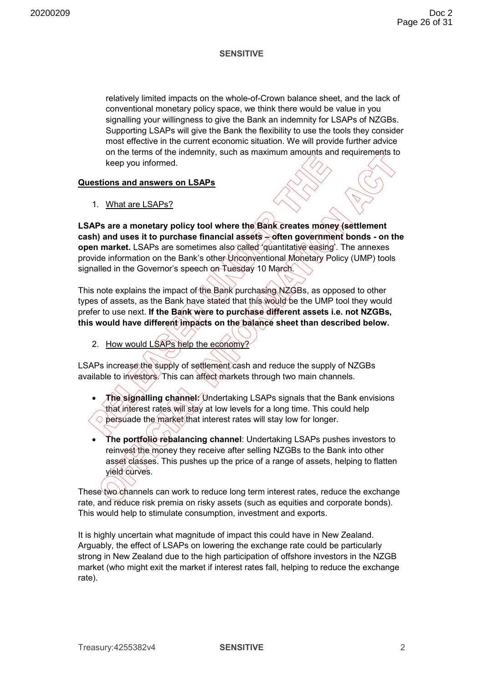relatively limited impacts on the whole-of-Crown balance sheet, and the lack of conventional monetary policy space, we think there would be value in you signalling your willingness to give the Bank an indemnity for LSAPs of NZGBs. Supporting LSAPs will give the Bank the flexibility to use the tools they consider most effective in the current economic situation. We will provide further advice on the terms of the indemnity, such as maximum amounts and requirements to keep you informed.

#### **Questions and answers on LSAPs**

1. What are LSAPs?

**LSAPs are a monetary policy tool where the Bank creates money (settlement cash) and uses it to purchase financial assets – often government bonds - on the open market.** LSAPs are sometimes also called 'quantitative easing'. The annexes provide information on the Bank's other Unconventional Monetary Policy (UMP) tools signalled in the Governor's speech on Tuesday 10 March.

This note explains the impact of the Bank purchasing NZGBs, as opposed to other types of assets, as the Bank have stated that this would be the UMP tool they would prefer to use next. **If the Bank were to purchase different assets i.e. not NZGBs, this would have different impacts on the balance sheet than described below.**

2. How would LSAPs help the economy?

LSAPs increase the supply of settlement cash and reduce the supply of NZGBs available to investors. This can affect markets through two main channels.

- **The signalling channel:** Undertaking LSAPs signals that the Bank envisions that interest rates will stay at low levels for a long time. This could help  $\Diamond$  persuade the market that interest rates will stay low for longer.
- **The portfolio rebalancing channel**: Undertaking LSAPs pushes investors to reinvest the money they receive after selling NZGBs to the Bank into other asset classes. This pushes up the price of a range of assets, helping to flatten yield curves.

These two channels can work to reduce long term interest rates, reduce the exchange rate, and reduce risk premia on risky assets (such as equities and corporate bonds). This would help to stimulate consumption, investment and exports.

It is highly uncertain what magnitude of impact this could have in New Zealand. Arguably, the effect of LSAPs on lowering the exchange rate could be particularly strong in New Zealand due to the high participation of offshore investors in the NZGB market (who might exit the market if interest rates fall, helping to reduce the exchange rate).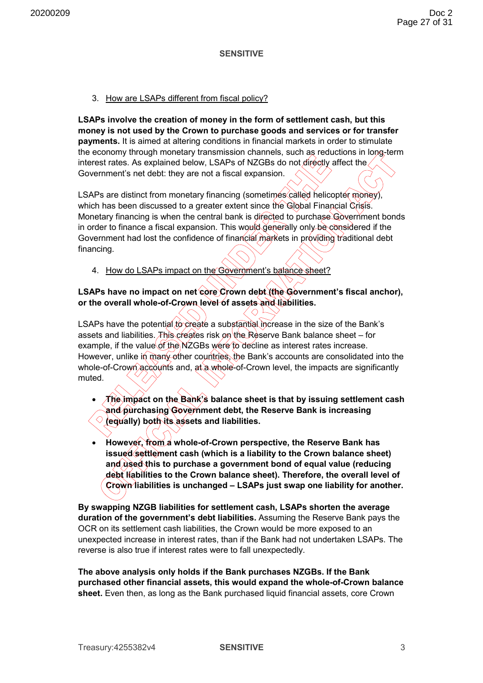#### 3. How are LSAPs different from fiscal policy?

**LSAPs involve the creation of money in the form of settlement cash, but this money is not used by the Crown to purchase goods and services or for transfer payments.** It is aimed at altering conditions in financial markets in order to stimulate the economy through monetary transmission channels, such as reductions in long-term interest rates. As explained below, LSAPs of NZGBs do not directly affect the Government's net debt: they are not a fiscal expansion.

LSAPs are distinct from monetary financing (sometimes called helicopter money), which has been discussed to a greater extent since the Global Financial Crisis. Monetary financing is when the central bank is directed to purchase Government bonds in order to finance a fiscal expansion. This would generally only be considered if the Government had lost the confidence of financial markets in providing traditional debt financing.

4. How do LSAPs impact on the Government's balance sheet?

# LSAPs have no impact on net core Crown debt (the Government's fiscal anchor), **or the overall whole-of-Crown level of assets and liabilities.**

LSAPs have the potential to create a substantial increase in the size of the Bank's assets and liabilities. This creates risk on the Reserve Bank balance sheet – for example, if the value of the NZGBs were to decline as interest rates increase. However, unlike in many other countries, the Bank's accounts are consolidated into the whole-of-Crown accounts and, at a whole-of-Crown level, the impacts are significantly muted.

• **The impact on the Bank's balance sheet is that by issuing settlement cash and purchasing Government debt, the Reserve Bank is increasing (equally) both its assets and liabilities.** 

• **However, from a whole-of-Crown perspective, the Reserve Bank has issued settlement cash (which is a liability to the Crown balance sheet) and used this to purchase a government bond of equal value (reducing debt liabilities to the Crown balance sheet). Therefore, the overall level of Crown liabilities is unchanged – LSAPs just swap one liability for another.** 

**By swapping NZGB liabilities for settlement cash, LSAPs shorten the average duration of the government's debt liabilities.** Assuming the Reserve Bank pays the OCR on its settlement cash liabilities, the Crown would be more exposed to an unexpected increase in interest rates, than if the Bank had not undertaken LSAPs. The reverse is also true if interest rates were to fall unexpectedly.

**The above analysis only holds if the Bank purchases NZGBs. If the Bank purchased other financial assets, this would expand the whole-of-Crown balance sheet.** Even then, as long as the Bank purchased liquid financial assets, core Crown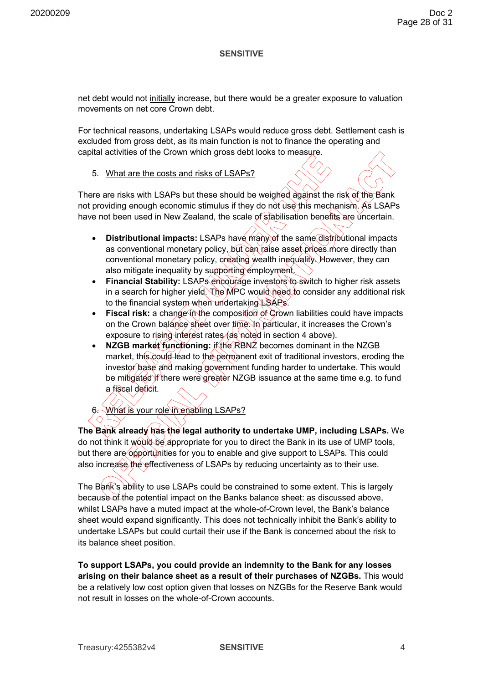net debt would not initially increase, but there would be a greater exposure to valuation movements on net core Crown debt.

For technical reasons, undertaking LSAPs would reduce gross debt. Settlement cash is excluded from gross debt, as its main function is not to finance the operating and capital activities of the Crown which gross debt looks to measure.

#### 5. What are the costs and risks of LSAPs?

There are risks with LSAPs but these should be weighed against the risk of the Bank not providing enough economic stimulus if they do not use this mechanism. As LSAPs have not been used in New Zealand, the scale of stabilisation benefits are uncertain.

- **Distributional impacts:** LSAPs have many of the same distributional impacts as conventional monetary policy, but can raise asset prices more directly than conventional monetary policy, creating wealth inequality. However, they can also mitigate inequality by supporting employment.
- **Financial Stability:** LSAPs encourage investors to switch to higher risk assets in a search for higher yield. The MPC would need to consider any additional risk to the financial system when undertaking LSAPs.
- **Fiscal risk:** a change in the composition of Grown liabilities could have impacts on the Crown balance sheet over time. In particular, it increases the Crown's exposure to rising interest rates (as noted in section 4 above).
- **NZGB market functioning:** if the RBNZ becomes dominant in the NZGB market, this could lead to the permanent exit of traditional investors, eroding the investor base and making government funding harder to undertake. This would be mitigated if there were greater NZGB issuance at the same time e.g. to fund a fiscal deficit.

# What is your role in enabling LSAPs?

The Bank already has the legal authority to undertake UMP, including LSAPs. We do not think it would be appropriate for you to direct the Bank in its use of UMP tools, but there are opportunities for you to enable and give support to LSAPs. This could also increase the effectiveness of LSAPs by reducing uncertainty as to their use.

The Bank's ability to use LSAPs could be constrained to some extent. This is largely because of the potential impact on the Banks balance sheet: as discussed above, whilst LSAPs have a muted impact at the whole-of-Crown level, the Bank's balance sheet would expand significantly. This does not technically inhibit the Bank's ability to undertake LSAPs but could curtail their use if the Bank is concerned about the risk to its balance sheet position.

**To support LSAPs, you could provide an indemnity to the Bank for any losses arising on their balance sheet as a result of their purchases of NZGBs.** This would be a relatively low cost option given that losses on NZGBs for the Reserve Bank would not result in losses on the whole-of-Crown accounts.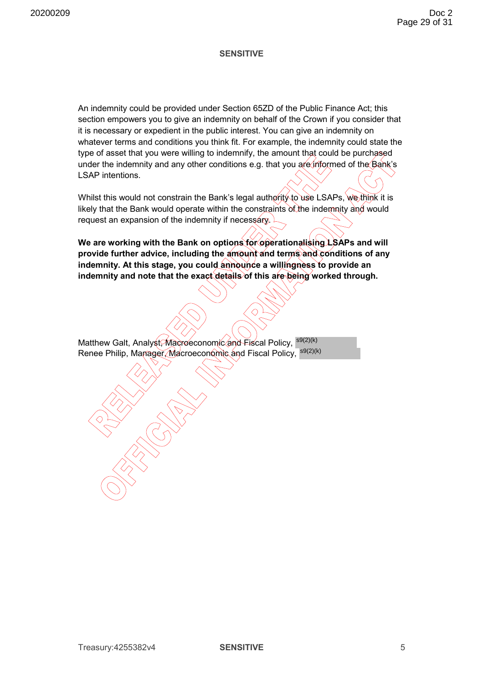An indemnity could be provided under Section 65ZD of the Public Finance Act; this section empowers you to give an indemnity on behalf of the Crown if you consider that it is necessary or expedient in the public interest. You can give an indemnity on whatever terms and conditions you think fit. For example, the indemnity could state the type of asset that you were willing to indemnify, the amount that could be purchased under the indemnity and any other conditions e.g. that you are informed of the  $\beta$ ank's LSAP intentions.

Whilst this would not constrain the Bank's legal authority to use LSAPs, we think it is likely that the Bank would operate within the constraints of the indemnity and would request an expansion of the indemnity if necessary.

We are working with the Bank on options for operationalising LSAPs and will **provide further advice, including the amount and terms and conditions of any indemnity. At this stage, you could announce a willingness to provide an indemnity and note that the exact details of this are being worked through.** 

Matthew Galt, Analyst, Macroeconomic and Fiscal Policy, <sup>s9(2)(k)</sup> Renee Philip, Manager, Macroeconomic and Fiscal Policy, <sup>s9(2)(k)</sup>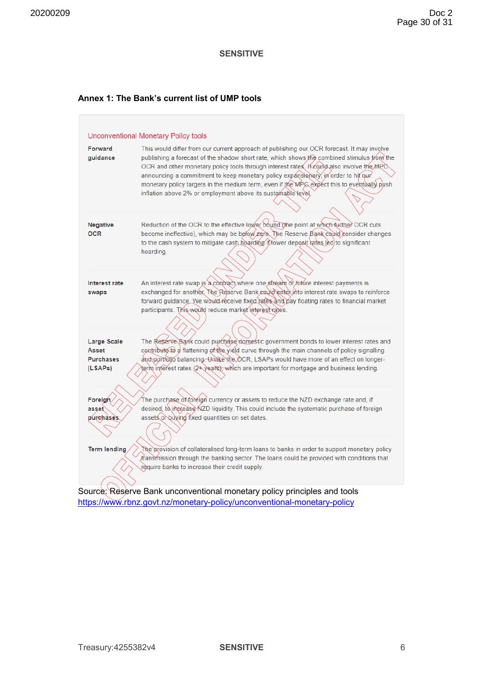#### **Annex 1: The Bank's current list of UMP tools**



https://www.rbnz.govt.nz/monetary-policy/unconventional-monetary-policy